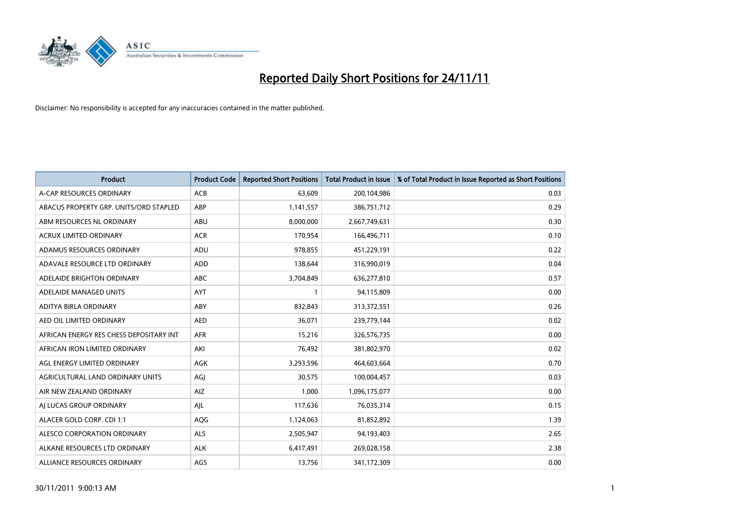

| <b>Product</b>                          | <b>Product Code</b> | <b>Reported Short Positions</b> | <b>Total Product in Issue</b> | % of Total Product in Issue Reported as Short Positions |
|-----------------------------------------|---------------------|---------------------------------|-------------------------------|---------------------------------------------------------|
| A-CAP RESOURCES ORDINARY                | <b>ACB</b>          | 63,609                          | 200,104,986                   | 0.03                                                    |
| ABACUS PROPERTY GRP. UNITS/ORD STAPLED  | ABP                 | 1,141,557                       | 386,751,712                   | 0.29                                                    |
| ABM RESOURCES NL ORDINARY               | <b>ABU</b>          | 8,000,000                       | 2,667,749,631                 | 0.30                                                    |
| ACRUX LIMITED ORDINARY                  | <b>ACR</b>          | 170,954                         | 166,496,711                   | 0.10                                                    |
| ADAMUS RESOURCES ORDINARY               | ADU                 | 978,855                         | 451,229,191                   | 0.22                                                    |
| ADAVALE RESOURCE LTD ORDINARY           | <b>ADD</b>          | 138,644                         | 316,990,019                   | 0.04                                                    |
| ADELAIDE BRIGHTON ORDINARY              | <b>ABC</b>          | 3,704,849                       | 636,277,810                   | 0.57                                                    |
| ADELAIDE MANAGED UNITS                  | <b>AYT</b>          |                                 | 94,115,809                    | 0.00                                                    |
| ADITYA BIRLA ORDINARY                   | ABY                 | 832,843                         | 313,372,551                   | 0.26                                                    |
| AED OIL LIMITED ORDINARY                | <b>AED</b>          | 36,071                          | 239,779,144                   | 0.02                                                    |
| AFRICAN ENERGY RES CHESS DEPOSITARY INT | <b>AFR</b>          | 15,216                          | 326,576,735                   | 0.00                                                    |
| AFRICAN IRON LIMITED ORDINARY           | AKI                 | 76,492                          | 381,802,970                   | 0.02                                                    |
| AGL ENERGY LIMITED ORDINARY             | AGK                 | 3,293,596                       | 464,603,664                   | 0.70                                                    |
| AGRICULTURAL LAND ORDINARY UNITS        | AGI                 | 30,575                          | 100,004,457                   | 0.03                                                    |
| AIR NEW ZEALAND ORDINARY                | AIZ                 | 1,000                           | 1,096,175,077                 | 0.00                                                    |
| AI LUCAS GROUP ORDINARY                 | AIL                 | 117,636                         | 76,035,314                    | 0.15                                                    |
| ALACER GOLD CORP. CDI 1:1               | <b>AQG</b>          | 1,124,063                       | 81,852,892                    | 1.39                                                    |
| ALESCO CORPORATION ORDINARY             | <b>ALS</b>          | 2,505,947                       | 94,193,403                    | 2.65                                                    |
| ALKANE RESOURCES LTD ORDINARY           | <b>ALK</b>          | 6,417,491                       | 269,028,158                   | 2.38                                                    |
| ALLIANCE RESOURCES ORDINARY             | AGS                 | 13,756                          | 341,172,309                   | 0.00                                                    |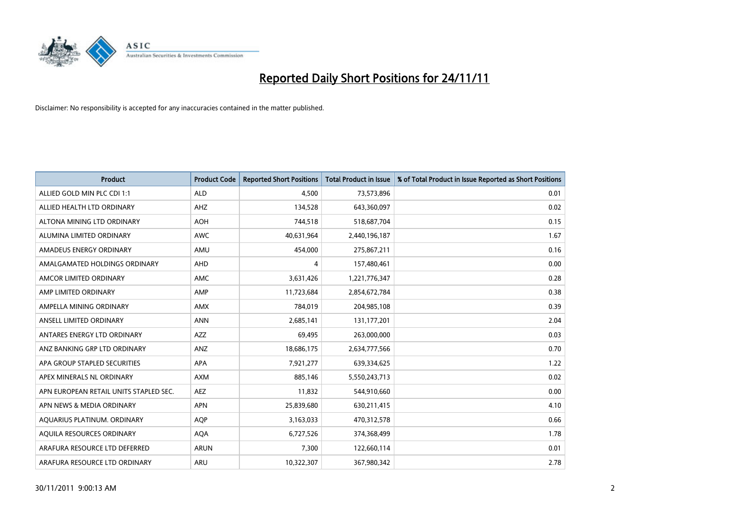

| <b>Product</b>                         | <b>Product Code</b> | <b>Reported Short Positions</b> | <b>Total Product in Issue</b> | % of Total Product in Issue Reported as Short Positions |
|----------------------------------------|---------------------|---------------------------------|-------------------------------|---------------------------------------------------------|
| ALLIED GOLD MIN PLC CDI 1:1            | <b>ALD</b>          | 4,500                           | 73,573,896                    | 0.01                                                    |
| ALLIED HEALTH LTD ORDINARY             | <b>AHZ</b>          | 134,528                         | 643,360,097                   | 0.02                                                    |
| ALTONA MINING LTD ORDINARY             | <b>AOH</b>          | 744,518                         | 518,687,704                   | 0.15                                                    |
| ALUMINA LIMITED ORDINARY               | <b>AWC</b>          | 40,631,964                      | 2,440,196,187                 | 1.67                                                    |
| AMADEUS ENERGY ORDINARY                | AMU                 | 454,000                         | 275,867,211                   | 0.16                                                    |
| AMALGAMATED HOLDINGS ORDINARY          | AHD                 | 4                               | 157,480,461                   | 0.00                                                    |
| AMCOR LIMITED ORDINARY                 | <b>AMC</b>          | 3,631,426                       | 1,221,776,347                 | 0.28                                                    |
| AMP LIMITED ORDINARY                   | AMP                 | 11,723,684                      | 2,854,672,784                 | 0.38                                                    |
| AMPELLA MINING ORDINARY                | <b>AMX</b>          | 784,019                         | 204,985,108                   | 0.39                                                    |
| ANSELL LIMITED ORDINARY                | <b>ANN</b>          | 2,685,141                       | 131, 177, 201                 | 2.04                                                    |
| ANTARES ENERGY LTD ORDINARY            | <b>AZZ</b>          | 69,495                          | 263,000,000                   | 0.03                                                    |
| ANZ BANKING GRP LTD ORDINARY           | ANZ                 | 18,686,175                      | 2,634,777,566                 | 0.70                                                    |
| APA GROUP STAPLED SECURITIES           | <b>APA</b>          | 7,921,277                       | 639,334,625                   | 1.22                                                    |
| APEX MINERALS NL ORDINARY              | <b>AXM</b>          | 885,146                         | 5,550,243,713                 | 0.02                                                    |
| APN EUROPEAN RETAIL UNITS STAPLED SEC. | <b>AEZ</b>          | 11,832                          | 544,910,660                   | 0.00                                                    |
| APN NEWS & MEDIA ORDINARY              | <b>APN</b>          | 25,839,680                      | 630,211,415                   | 4.10                                                    |
| AQUARIUS PLATINUM. ORDINARY            | <b>AOP</b>          | 3,163,033                       | 470,312,578                   | 0.66                                                    |
| AQUILA RESOURCES ORDINARY              | <b>AQA</b>          | 6,727,526                       | 374,368,499                   | 1.78                                                    |
| ARAFURA RESOURCE LTD DEFERRED          | <b>ARUN</b>         | 7,300                           | 122,660,114                   | 0.01                                                    |
| ARAFURA RESOURCE LTD ORDINARY          | ARU                 | 10,322,307                      | 367,980,342                   | 2.78                                                    |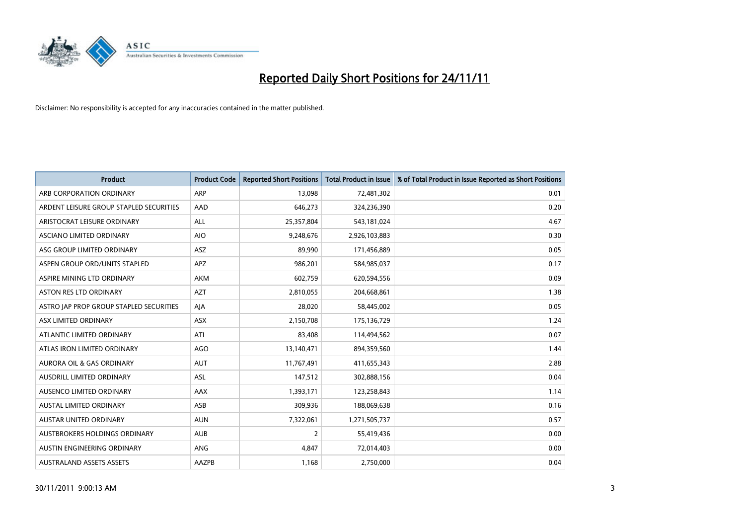

| <b>Product</b>                          | <b>Product Code</b> | <b>Reported Short Positions</b> | <b>Total Product in Issue</b> | % of Total Product in Issue Reported as Short Positions |
|-----------------------------------------|---------------------|---------------------------------|-------------------------------|---------------------------------------------------------|
| ARB CORPORATION ORDINARY                | ARP                 | 13,098                          | 72,481,302                    | 0.01                                                    |
| ARDENT LEISURE GROUP STAPLED SECURITIES | AAD                 | 646,273                         | 324,236,390                   | 0.20                                                    |
| ARISTOCRAT LEISURE ORDINARY             | <b>ALL</b>          | 25,357,804                      | 543,181,024                   | 4.67                                                    |
| ASCIANO LIMITED ORDINARY                | <b>AIO</b>          | 9,248,676                       | 2,926,103,883                 | 0.30                                                    |
| ASG GROUP LIMITED ORDINARY              | <b>ASZ</b>          | 89,990                          | 171,456,889                   | 0.05                                                    |
| ASPEN GROUP ORD/UNITS STAPLED           | <b>APZ</b>          | 986,201                         | 584,985,037                   | 0.17                                                    |
| ASPIRE MINING LTD ORDINARY              | AKM                 | 602,759                         | 620,594,556                   | 0.09                                                    |
| <b>ASTON RES LTD ORDINARY</b>           | <b>AZT</b>          | 2,810,055                       | 204,668,861                   | 1.38                                                    |
| ASTRO JAP PROP GROUP STAPLED SECURITIES | AIA                 | 28,020                          | 58,445,002                    | 0.05                                                    |
| ASX LIMITED ORDINARY                    | <b>ASX</b>          | 2,150,708                       | 175,136,729                   | 1.24                                                    |
| ATLANTIC LIMITED ORDINARY               | ATI                 | 83,408                          | 114,494,562                   | 0.07                                                    |
| ATLAS IRON LIMITED ORDINARY             | <b>AGO</b>          | 13,140,471                      | 894,359,560                   | 1.44                                                    |
| <b>AURORA OIL &amp; GAS ORDINARY</b>    | <b>AUT</b>          | 11,767,491                      | 411,655,343                   | 2.88                                                    |
| <b>AUSDRILL LIMITED ORDINARY</b>        | ASL                 | 147,512                         | 302,888,156                   | 0.04                                                    |
| <b>AUSENCO LIMITED ORDINARY</b>         | AAX                 | 1,393,171                       | 123,258,843                   | 1.14                                                    |
| AUSTAL LIMITED ORDINARY                 | ASB                 | 309,936                         | 188,069,638                   | 0.16                                                    |
| AUSTAR UNITED ORDINARY                  | <b>AUN</b>          | 7,322,061                       | 1,271,505,737                 | 0.57                                                    |
| AUSTBROKERS HOLDINGS ORDINARY           | <b>AUB</b>          | 2                               | 55,419,436                    | 0.00                                                    |
| AUSTIN ENGINEERING ORDINARY             | <b>ANG</b>          | 4,847                           | 72,014,403                    | 0.00                                                    |
| <b>AUSTRALAND ASSETS ASSETS</b>         | AAZPB               | 1,168                           | 2,750,000                     | 0.04                                                    |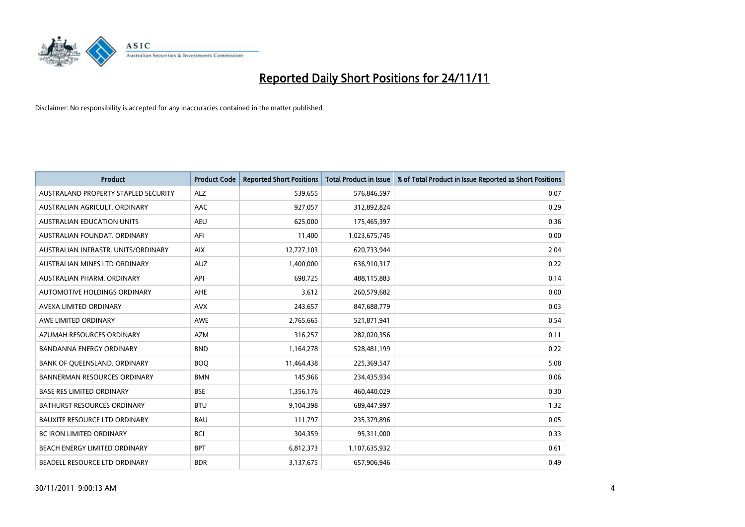

| <b>Product</b>                       | <b>Product Code</b> | <b>Reported Short Positions</b> | Total Product in Issue | % of Total Product in Issue Reported as Short Positions |
|--------------------------------------|---------------------|---------------------------------|------------------------|---------------------------------------------------------|
| AUSTRALAND PROPERTY STAPLED SECURITY | <b>ALZ</b>          | 539,655                         | 576,846,597            | 0.07                                                    |
| AUSTRALIAN AGRICULT. ORDINARY        | AAC                 | 927,057                         | 312,892,824            | 0.29                                                    |
| <b>AUSTRALIAN EDUCATION UNITS</b>    | <b>AEU</b>          | 625,000                         | 175,465,397            | 0.36                                                    |
| AUSTRALIAN FOUNDAT. ORDINARY         | AFI                 | 11,400                          | 1,023,675,745          | 0.00                                                    |
| AUSTRALIAN INFRASTR, UNITS/ORDINARY  | <b>AIX</b>          | 12,727,103                      | 620,733,944            | 2.04                                                    |
| AUSTRALIAN MINES LTD ORDINARY        | <b>AUZ</b>          | 1,400,000                       | 636,910,317            | 0.22                                                    |
| AUSTRALIAN PHARM, ORDINARY           | API                 | 698.725                         | 488,115,883            | 0.14                                                    |
| AUTOMOTIVE HOLDINGS ORDINARY         | AHE                 | 3,612                           | 260,579,682            | 0.00                                                    |
| AVEXA LIMITED ORDINARY               | <b>AVX</b>          | 243,657                         | 847,688,779            | 0.03                                                    |
| AWE LIMITED ORDINARY                 | AWE                 | 2,765,665                       | 521,871,941            | 0.54                                                    |
| AZUMAH RESOURCES ORDINARY            | <b>AZM</b>          | 316,257                         | 282,020,356            | 0.11                                                    |
| <b>BANDANNA ENERGY ORDINARY</b>      | <b>BND</b>          | 1,164,278                       | 528,481,199            | 0.22                                                    |
| BANK OF QUEENSLAND. ORDINARY         | <b>BOO</b>          | 11,464,438                      | 225,369,547            | 5.08                                                    |
| <b>BANNERMAN RESOURCES ORDINARY</b>  | <b>BMN</b>          | 145,966                         | 234,435,934            | 0.06                                                    |
| <b>BASE RES LIMITED ORDINARY</b>     | <b>BSE</b>          | 1,356,176                       | 460,440,029            | 0.30                                                    |
| BATHURST RESOURCES ORDINARY          | <b>BTU</b>          | 9,104,398                       | 689,447,997            | 1.32                                                    |
| <b>BAUXITE RESOURCE LTD ORDINARY</b> | <b>BAU</b>          | 111,797                         | 235,379,896            | 0.05                                                    |
| <b>BC IRON LIMITED ORDINARY</b>      | <b>BCI</b>          | 304,359                         | 95,311,000             | 0.33                                                    |
| BEACH ENERGY LIMITED ORDINARY        | <b>BPT</b>          | 6,812,373                       | 1,107,635,932          | 0.61                                                    |
| BEADELL RESOURCE LTD ORDINARY        | <b>BDR</b>          | 3,137,675                       | 657,906,946            | 0.49                                                    |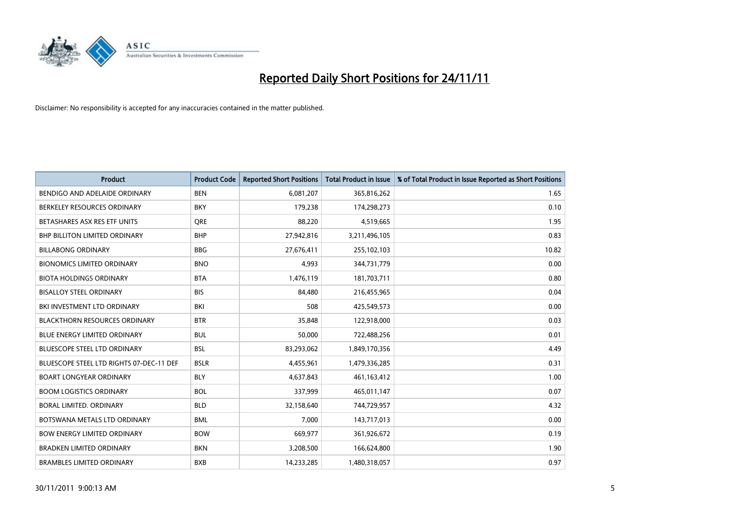

| <b>Product</b>                           | <b>Product Code</b> | <b>Reported Short Positions</b> | <b>Total Product in Issue</b> | % of Total Product in Issue Reported as Short Positions |
|------------------------------------------|---------------------|---------------------------------|-------------------------------|---------------------------------------------------------|
| BENDIGO AND ADELAIDE ORDINARY            | <b>BEN</b>          | 6,081,207                       | 365,816,262                   | 1.65                                                    |
| BERKELEY RESOURCES ORDINARY              | <b>BKY</b>          | 179,238                         | 174,298,273                   | 0.10                                                    |
| BETASHARES ASX RES ETF UNITS             | <b>ORE</b>          | 88,220                          | 4,519,665                     | 1.95                                                    |
| BHP BILLITON LIMITED ORDINARY            | <b>BHP</b>          | 27,942,816                      | 3,211,496,105                 | 0.83                                                    |
| <b>BILLABONG ORDINARY</b>                | <b>BBG</b>          | 27,676,411                      | 255,102,103                   | 10.82                                                   |
| <b>BIONOMICS LIMITED ORDINARY</b>        | <b>BNO</b>          | 4,993                           | 344,731,779                   | 0.00                                                    |
| <b>BIOTA HOLDINGS ORDINARY</b>           | <b>BTA</b>          | 1,476,119                       | 181,703,711                   | 0.80                                                    |
| <b>BISALLOY STEEL ORDINARY</b>           | <b>BIS</b>          | 84,480                          | 216,455,965                   | 0.04                                                    |
| BKI INVESTMENT LTD ORDINARY              | <b>BKI</b>          | 508                             | 425,549,573                   | 0.00                                                    |
| <b>BLACKTHORN RESOURCES ORDINARY</b>     | <b>BTR</b>          | 35,848                          | 122,918,000                   | 0.03                                                    |
| <b>BLUE ENERGY LIMITED ORDINARY</b>      | <b>BUL</b>          | 50,000                          | 722,488,256                   | 0.01                                                    |
| <b>BLUESCOPE STEEL LTD ORDINARY</b>      | <b>BSL</b>          | 83,293,062                      | 1,849,170,356                 | 4.49                                                    |
| BLUESCOPE STEEL LTD RIGHTS 07-DEC-11 DEF | <b>BSLR</b>         | 4,455,961                       | 1,479,336,285                 | 0.31                                                    |
| <b>BOART LONGYEAR ORDINARY</b>           | <b>BLY</b>          | 4,637,843                       | 461,163,412                   | 1.00                                                    |
| <b>BOOM LOGISTICS ORDINARY</b>           | <b>BOL</b>          | 337,999                         | 465,011,147                   | 0.07                                                    |
| BORAL LIMITED. ORDINARY                  | <b>BLD</b>          | 32,158,640                      | 744,729,957                   | 4.32                                                    |
| BOTSWANA METALS LTD ORDINARY             | <b>BML</b>          | 7,000                           | 143,717,013                   | 0.00                                                    |
| <b>BOW ENERGY LIMITED ORDINARY</b>       | <b>BOW</b>          | 669,977                         | 361,926,672                   | 0.19                                                    |
| <b>BRADKEN LIMITED ORDINARY</b>          | <b>BKN</b>          | 3,208,500                       | 166,624,800                   | 1.90                                                    |
| <b>BRAMBLES LIMITED ORDINARY</b>         | <b>BXB</b>          | 14.233.285                      | 1,480,318,057                 | 0.97                                                    |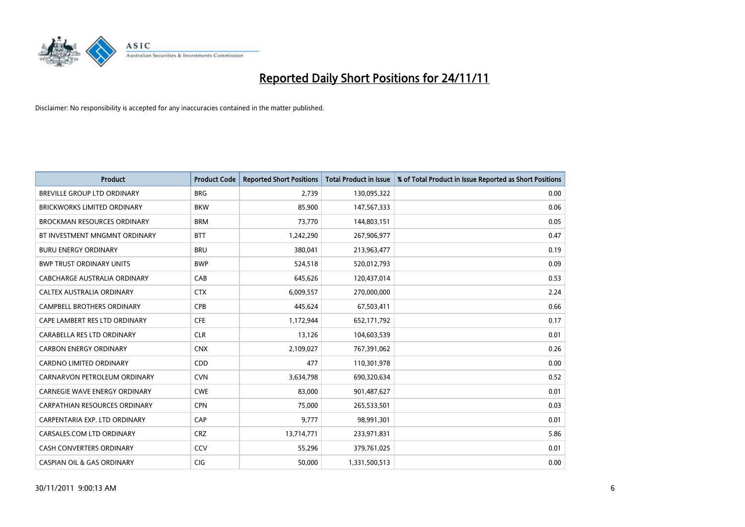

| <b>Product</b>                        | <b>Product Code</b> | <b>Reported Short Positions</b> | <b>Total Product in Issue</b> | % of Total Product in Issue Reported as Short Positions |
|---------------------------------------|---------------------|---------------------------------|-------------------------------|---------------------------------------------------------|
| <b>BREVILLE GROUP LTD ORDINARY</b>    | <b>BRG</b>          | 2,739                           | 130,095,322                   | 0.00                                                    |
| BRICKWORKS LIMITED ORDINARY           | <b>BKW</b>          | 85,900                          | 147,567,333                   | 0.06                                                    |
| <b>BROCKMAN RESOURCES ORDINARY</b>    | <b>BRM</b>          | 73,770                          | 144,803,151                   | 0.05                                                    |
| BT INVESTMENT MNGMNT ORDINARY         | <b>BTT</b>          | 1,242,290                       | 267,906,977                   | 0.47                                                    |
| <b>BURU ENERGY ORDINARY</b>           | <b>BRU</b>          | 380,041                         | 213,963,477                   | 0.19                                                    |
| <b>BWP TRUST ORDINARY UNITS</b>       | <b>BWP</b>          | 524,518                         | 520,012,793                   | 0.09                                                    |
| CABCHARGE AUSTRALIA ORDINARY          | CAB                 | 645,626                         | 120,437,014                   | 0.53                                                    |
| CALTEX AUSTRALIA ORDINARY             | <b>CTX</b>          | 6,009,557                       | 270,000,000                   | 2.24                                                    |
| CAMPBELL BROTHERS ORDINARY            | <b>CPB</b>          | 445,624                         | 67,503,411                    | 0.66                                                    |
| CAPE LAMBERT RES LTD ORDINARY         | <b>CFE</b>          | 1,172,944                       | 652,171,792                   | 0.17                                                    |
| CARABELLA RES LTD ORDINARY            | <b>CLR</b>          | 13,126                          | 104,603,539                   | 0.01                                                    |
| <b>CARBON ENERGY ORDINARY</b>         | <b>CNX</b>          | 2,109,027                       | 767,391,062                   | 0.26                                                    |
| <b>CARDNO LIMITED ORDINARY</b>        | CDD                 | 477                             | 110,301,978                   | 0.00                                                    |
| CARNARVON PETROLEUM ORDINARY          | <b>CVN</b>          | 3,634,798                       | 690,320,634                   | 0.52                                                    |
| <b>CARNEGIE WAVE ENERGY ORDINARY</b>  | <b>CWE</b>          | 83,000                          | 901,487,627                   | 0.01                                                    |
| CARPATHIAN RESOURCES ORDINARY         | <b>CPN</b>          | 75,000                          | 265,533,501                   | 0.03                                                    |
| CARPENTARIA EXP. LTD ORDINARY         | CAP                 | 9,777                           | 98,991,301                    | 0.01                                                    |
| CARSALES.COM LTD ORDINARY             | <b>CRZ</b>          | 13,714,771                      | 233,971,831                   | 5.86                                                    |
| <b>CASH CONVERTERS ORDINARY</b>       | CCV                 | 55,296                          | 379,761,025                   | 0.01                                                    |
| <b>CASPIAN OIL &amp; GAS ORDINARY</b> | <b>CIG</b>          | 50.000                          | 1,331,500,513                 | 0.00                                                    |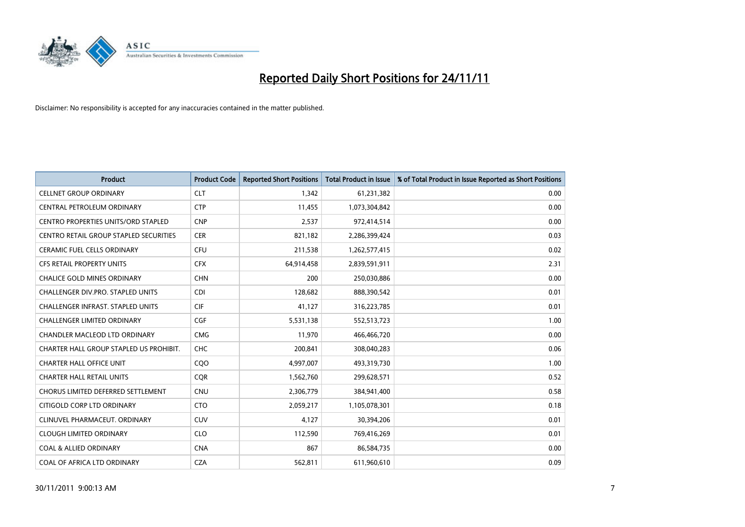

| <b>Product</b>                          | <b>Product Code</b> | <b>Reported Short Positions</b> | <b>Total Product in Issue</b> | % of Total Product in Issue Reported as Short Positions |
|-----------------------------------------|---------------------|---------------------------------|-------------------------------|---------------------------------------------------------|
| <b>CELLNET GROUP ORDINARY</b>           | <b>CLT</b>          | 1,342                           | 61,231,382                    | 0.00                                                    |
| CENTRAL PETROLEUM ORDINARY              | <b>CTP</b>          | 11,455                          | 1,073,304,842                 | 0.00                                                    |
| CENTRO PROPERTIES UNITS/ORD STAPLED     | <b>CNP</b>          | 2,537                           | 972,414,514                   | 0.00                                                    |
| CENTRO RETAIL GROUP STAPLED SECURITIES  | <b>CER</b>          | 821,182                         | 2,286,399,424                 | 0.03                                                    |
| <b>CERAMIC FUEL CELLS ORDINARY</b>      | <b>CFU</b>          | 211,538                         | 1,262,577,415                 | 0.02                                                    |
| <b>CFS RETAIL PROPERTY UNITS</b>        | <b>CFX</b>          | 64,914,458                      | 2,839,591,911                 | 2.31                                                    |
| <b>CHALICE GOLD MINES ORDINARY</b>      | <b>CHN</b>          | 200                             | 250,030,886                   | 0.00                                                    |
| CHALLENGER DIV.PRO. STAPLED UNITS       | <b>CDI</b>          | 128,682                         | 888,390,542                   | 0.01                                                    |
| CHALLENGER INFRAST. STAPLED UNITS       | <b>CIF</b>          | 41,127                          | 316,223,785                   | 0.01                                                    |
| <b>CHALLENGER LIMITED ORDINARY</b>      | CGF                 | 5,531,138                       | 552,513,723                   | 1.00                                                    |
| CHANDLER MACLEOD LTD ORDINARY           | <b>CMG</b>          | 11,970                          | 466,466,720                   | 0.00                                                    |
| CHARTER HALL GROUP STAPLED US PROHIBIT. | <b>CHC</b>          | 200,841                         | 308,040,283                   | 0.06                                                    |
| <b>CHARTER HALL OFFICE UNIT</b>         | COO                 | 4,997,007                       | 493,319,730                   | 1.00                                                    |
| <b>CHARTER HALL RETAIL UNITS</b>        | <b>COR</b>          | 1,562,760                       | 299,628,571                   | 0.52                                                    |
| CHORUS LIMITED DEFERRED SETTLEMENT      | <b>CNU</b>          | 2,306,779                       | 384,941,400                   | 0.58                                                    |
| CITIGOLD CORP LTD ORDINARY              | <b>CTO</b>          | 2,059,217                       | 1,105,078,301                 | 0.18                                                    |
| CLINUVEL PHARMACEUT, ORDINARY           | CUV                 | 4,127                           | 30,394,206                    | 0.01                                                    |
| <b>CLOUGH LIMITED ORDINARY</b>          | <b>CLO</b>          | 112,590                         | 769,416,269                   | 0.01                                                    |
| <b>COAL &amp; ALLIED ORDINARY</b>       | <b>CNA</b>          | 867                             | 86,584,735                    | 0.00                                                    |
| COAL OF AFRICA LTD ORDINARY             | <b>CZA</b>          | 562,811                         | 611,960,610                   | 0.09                                                    |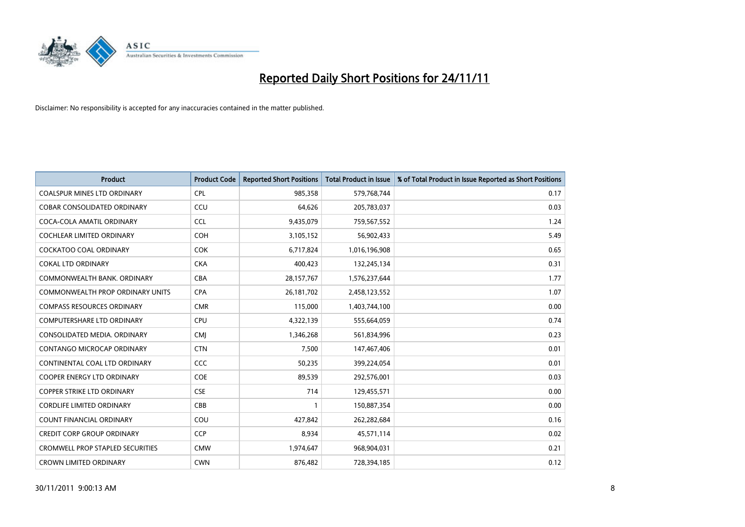

| <b>Product</b>                          | <b>Product Code</b> | <b>Reported Short Positions</b> | <b>Total Product in Issue</b> | % of Total Product in Issue Reported as Short Positions |
|-----------------------------------------|---------------------|---------------------------------|-------------------------------|---------------------------------------------------------|
| <b>COALSPUR MINES LTD ORDINARY</b>      | <b>CPL</b>          | 985,358                         | 579,768,744                   | 0.17                                                    |
| COBAR CONSOLIDATED ORDINARY             | CCU                 | 64,626                          | 205,783,037                   | 0.03                                                    |
| COCA-COLA AMATIL ORDINARY               | <b>CCL</b>          | 9,435,079                       | 759,567,552                   | 1.24                                                    |
| COCHLEAR LIMITED ORDINARY               | <b>COH</b>          | 3,105,152                       | 56,902,433                    | 5.49                                                    |
| <b>COCKATOO COAL ORDINARY</b>           | <b>COK</b>          | 6,717,824                       | 1,016,196,908                 | 0.65                                                    |
| <b>COKAL LTD ORDINARY</b>               | <b>CKA</b>          | 400,423                         | 132,245,134                   | 0.31                                                    |
| COMMONWEALTH BANK, ORDINARY             | <b>CBA</b>          | 28,157,767                      | 1,576,237,644                 | 1.77                                                    |
| <b>COMMONWEALTH PROP ORDINARY UNITS</b> | <b>CPA</b>          | 26,181,702                      | 2,458,123,552                 | 1.07                                                    |
| <b>COMPASS RESOURCES ORDINARY</b>       | <b>CMR</b>          | 115,000                         | 1,403,744,100                 | 0.00                                                    |
| <b>COMPUTERSHARE LTD ORDINARY</b>       | <b>CPU</b>          | 4,322,139                       | 555,664,059                   | 0.74                                                    |
| CONSOLIDATED MEDIA, ORDINARY            | <b>CMI</b>          | 1,346,268                       | 561,834,996                   | 0.23                                                    |
| CONTANGO MICROCAP ORDINARY              | <b>CTN</b>          | 7,500                           | 147,467,406                   | 0.01                                                    |
| CONTINENTAL COAL LTD ORDINARY           | CCC                 | 50,235                          | 399,224,054                   | 0.01                                                    |
| <b>COOPER ENERGY LTD ORDINARY</b>       | <b>COE</b>          | 89,539                          | 292,576,001                   | 0.03                                                    |
| <b>COPPER STRIKE LTD ORDINARY</b>       | <b>CSE</b>          | 714                             | 129,455,571                   | 0.00                                                    |
| <b>CORDLIFE LIMITED ORDINARY</b>        | CBB                 |                                 | 150,887,354                   | 0.00                                                    |
| COUNT FINANCIAL ORDINARY                | COU                 | 427,842                         | 262,282,684                   | 0.16                                                    |
| CREDIT CORP GROUP ORDINARY              | <b>CCP</b>          | 8,934                           | 45,571,114                    | 0.02                                                    |
| <b>CROMWELL PROP STAPLED SECURITIES</b> | <b>CMW</b>          | 1,974,647                       | 968,904,031                   | 0.21                                                    |
| <b>CROWN LIMITED ORDINARY</b>           | <b>CWN</b>          | 876,482                         | 728,394,185                   | 0.12                                                    |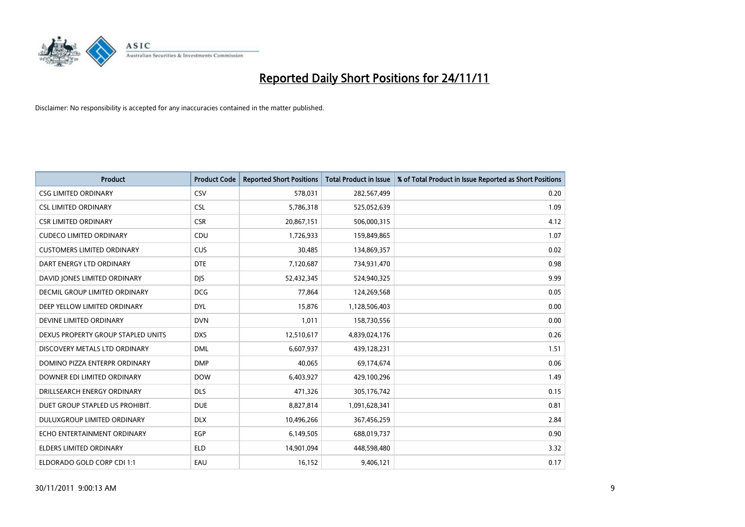

| <b>Product</b>                     | <b>Product Code</b> | <b>Reported Short Positions</b> | <b>Total Product in Issue</b> | % of Total Product in Issue Reported as Short Positions |
|------------------------------------|---------------------|---------------------------------|-------------------------------|---------------------------------------------------------|
| <b>CSG LIMITED ORDINARY</b>        | CSV                 | 578,031                         | 282,567,499                   | 0.20                                                    |
| <b>CSL LIMITED ORDINARY</b>        | <b>CSL</b>          | 5,786,318                       | 525,052,639                   | 1.09                                                    |
| <b>CSR LIMITED ORDINARY</b>        | <b>CSR</b>          | 20,867,151                      | 506,000,315                   | 4.12                                                    |
| <b>CUDECO LIMITED ORDINARY</b>     | CDU                 | 1,726,933                       | 159,849,865                   | 1.07                                                    |
| <b>CUSTOMERS LIMITED ORDINARY</b>  | <b>CUS</b>          | 30,485                          | 134,869,357                   | 0.02                                                    |
| DART ENERGY LTD ORDINARY           | <b>DTE</b>          | 7,120,687                       | 734,931,470                   | 0.98                                                    |
| DAVID JONES LIMITED ORDINARY       | <b>DJS</b>          | 52,432,345                      | 524,940,325                   | 9.99                                                    |
| DECMIL GROUP LIMITED ORDINARY      | <b>DCG</b>          | 77,864                          | 124,269,568                   | 0.05                                                    |
| DEEP YELLOW LIMITED ORDINARY       | <b>DYL</b>          | 15,876                          | 1,128,506,403                 | 0.00                                                    |
| DEVINE LIMITED ORDINARY            | <b>DVN</b>          | 1,011                           | 158,730,556                   | 0.00                                                    |
| DEXUS PROPERTY GROUP STAPLED UNITS | <b>DXS</b>          | 12,510,617                      | 4,839,024,176                 | 0.26                                                    |
| DISCOVERY METALS LTD ORDINARY      | <b>DML</b>          | 6,607,937                       | 439,128,231                   | 1.51                                                    |
| DOMINO PIZZA ENTERPR ORDINARY      | <b>DMP</b>          | 40,065                          | 69,174,674                    | 0.06                                                    |
| DOWNER EDI LIMITED ORDINARY        | <b>DOW</b>          | 6,403,927                       | 429,100,296                   | 1.49                                                    |
| DRILLSEARCH ENERGY ORDINARY        | <b>DLS</b>          | 471,326                         | 305,176,742                   | 0.15                                                    |
| DUET GROUP STAPLED US PROHIBIT.    | <b>DUE</b>          | 8,827,814                       | 1,091,628,341                 | 0.81                                                    |
| <b>DULUXGROUP LIMITED ORDINARY</b> | <b>DLX</b>          | 10,496,266                      | 367,456,259                   | 2.84                                                    |
| ECHO ENTERTAINMENT ORDINARY        | <b>EGP</b>          | 6,149,505                       | 688,019,737                   | 0.90                                                    |
| <b>ELDERS LIMITED ORDINARY</b>     | <b>ELD</b>          | 14,901,094                      | 448,598,480                   | 3.32                                                    |
| ELDORADO GOLD CORP CDI 1:1         | EAU                 | 16,152                          | 9,406,121                     | 0.17                                                    |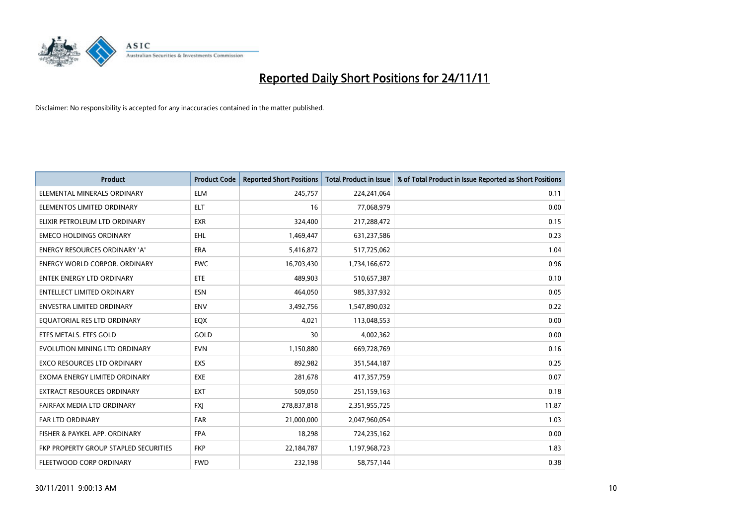

| <b>Product</b>                        | <b>Product Code</b> | <b>Reported Short Positions</b> | <b>Total Product in Issue</b> | % of Total Product in Issue Reported as Short Positions |
|---------------------------------------|---------------------|---------------------------------|-------------------------------|---------------------------------------------------------|
| ELEMENTAL MINERALS ORDINARY           | <b>ELM</b>          | 245,757                         | 224,241,064                   | 0.11                                                    |
| ELEMENTOS LIMITED ORDINARY            | <b>ELT</b>          | 16                              | 77,068,979                    | 0.00                                                    |
| ELIXIR PETROLEUM LTD ORDINARY         | <b>EXR</b>          | 324,400                         | 217,288,472                   | 0.15                                                    |
| <b>EMECO HOLDINGS ORDINARY</b>        | <b>EHL</b>          | 1,469,447                       | 631,237,586                   | 0.23                                                    |
| <b>ENERGY RESOURCES ORDINARY 'A'</b>  | <b>ERA</b>          | 5,416,872                       | 517,725,062                   | 1.04                                                    |
| <b>ENERGY WORLD CORPOR, ORDINARY</b>  | <b>EWC</b>          | 16,703,430                      | 1,734,166,672                 | 0.96                                                    |
| <b>ENTEK ENERGY LTD ORDINARY</b>      | ETE                 | 489.903                         | 510,657,387                   | 0.10                                                    |
| ENTELLECT LIMITED ORDINARY            | <b>ESN</b>          | 464,050                         | 985,337,932                   | 0.05                                                    |
| <b>ENVESTRA LIMITED ORDINARY</b>      | <b>ENV</b>          | 3,492,756                       | 1,547,890,032                 | 0.22                                                    |
| EQUATORIAL RES LTD ORDINARY           | EQX                 | 4,021                           | 113,048,553                   | 0.00                                                    |
| ETFS METALS. ETFS GOLD                | GOLD                | 30                              | 4,002,362                     | 0.00                                                    |
| EVOLUTION MINING LTD ORDINARY         | <b>EVN</b>          | 1,150,880                       | 669,728,769                   | 0.16                                                    |
| EXCO RESOURCES LTD ORDINARY           | <b>EXS</b>          | 892,982                         | 351,544,187                   | 0.25                                                    |
| EXOMA ENERGY LIMITED ORDINARY         | <b>EXE</b>          | 281,678                         | 417,357,759                   | 0.07                                                    |
| <b>EXTRACT RESOURCES ORDINARY</b>     | EXT                 | 509,050                         | 251,159,163                   | 0.18                                                    |
| FAIRFAX MEDIA LTD ORDINARY            | <b>FXI</b>          | 278,837,818                     | 2,351,955,725                 | 11.87                                                   |
| FAR LTD ORDINARY                      | <b>FAR</b>          | 21,000,000                      | 2,047,960,054                 | 1.03                                                    |
| FISHER & PAYKEL APP. ORDINARY         | <b>FPA</b>          | 18,298                          | 724,235,162                   | 0.00                                                    |
| FKP PROPERTY GROUP STAPLED SECURITIES | <b>FKP</b>          | 22,184,787                      | 1,197,968,723                 | 1.83                                                    |
| FLEETWOOD CORP ORDINARY               | <b>FWD</b>          | 232,198                         | 58,757,144                    | 0.38                                                    |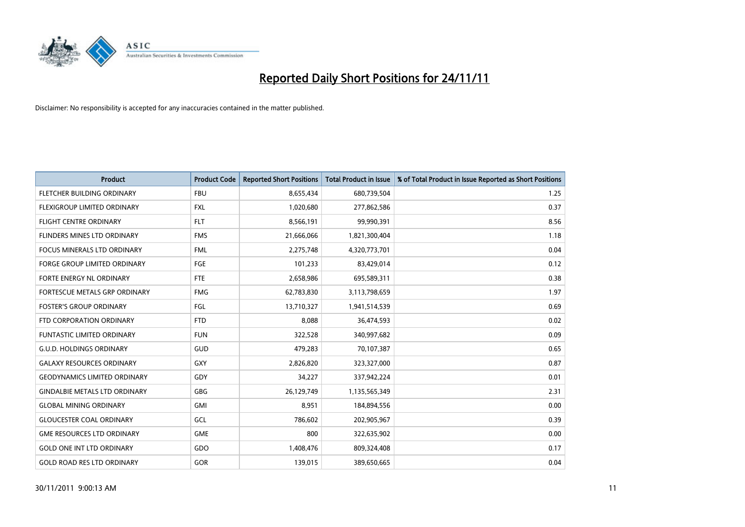

| <b>Product</b>                       | <b>Product Code</b> | <b>Reported Short Positions</b> | <b>Total Product in Issue</b> | % of Total Product in Issue Reported as Short Positions |
|--------------------------------------|---------------------|---------------------------------|-------------------------------|---------------------------------------------------------|
| <b>FLETCHER BUILDING ORDINARY</b>    | <b>FBU</b>          | 8,655,434                       | 680,739,504                   | 1.25                                                    |
| FLEXIGROUP LIMITED ORDINARY          | <b>FXL</b>          | 1,020,680                       | 277,862,586                   | 0.37                                                    |
| <b>FLIGHT CENTRE ORDINARY</b>        | <b>FLT</b>          | 8,566,191                       | 99,990,391                    | 8.56                                                    |
| FLINDERS MINES LTD ORDINARY          | <b>FMS</b>          | 21,666,066                      | 1,821,300,404                 | 1.18                                                    |
| <b>FOCUS MINERALS LTD ORDINARY</b>   | <b>FML</b>          | 2,275,748                       | 4,320,773,701                 | 0.04                                                    |
| <b>FORGE GROUP LIMITED ORDINARY</b>  | FGE                 | 101,233                         | 83,429,014                    | 0.12                                                    |
| <b>FORTE ENERGY NL ORDINARY</b>      | FTE                 | 2,658,986                       | 695,589,311                   | 0.38                                                    |
| <b>FORTESCUE METALS GRP ORDINARY</b> | <b>FMG</b>          | 62,783,830                      | 3,113,798,659                 | 1.97                                                    |
| <b>FOSTER'S GROUP ORDINARY</b>       | FGL                 | 13,710,327                      | 1,941,514,539                 | 0.69                                                    |
| FTD CORPORATION ORDINARY             | <b>FTD</b>          | 8,088                           | 36,474,593                    | 0.02                                                    |
| FUNTASTIC LIMITED ORDINARY           | <b>FUN</b>          | 322,528                         | 340,997,682                   | 0.09                                                    |
| <b>G.U.D. HOLDINGS ORDINARY</b>      | GUD                 | 479,283                         | 70,107,387                    | 0.65                                                    |
| <b>GALAXY RESOURCES ORDINARY</b>     | GXY                 | 2,826,820                       | 323,327,000                   | 0.87                                                    |
| <b>GEODYNAMICS LIMITED ORDINARY</b>  | GDY                 | 34,227                          | 337,942,224                   | 0.01                                                    |
| <b>GINDALBIE METALS LTD ORDINARY</b> | <b>GBG</b>          | 26,129,749                      | 1,135,565,349                 | 2.31                                                    |
| <b>GLOBAL MINING ORDINARY</b>        | <b>GMI</b>          | 8,951                           | 184,894,556                   | 0.00                                                    |
| <b>GLOUCESTER COAL ORDINARY</b>      | GCL                 | 786,602                         | 202,905,967                   | 0.39                                                    |
| <b>GME RESOURCES LTD ORDINARY</b>    | <b>GME</b>          | 800                             | 322,635,902                   | 0.00                                                    |
| <b>GOLD ONE INT LTD ORDINARY</b>     | GDO                 | 1,408,476                       | 809,324,408                   | 0.17                                                    |
| <b>GOLD ROAD RES LTD ORDINARY</b>    | <b>GOR</b>          | 139,015                         | 389,650,665                   | 0.04                                                    |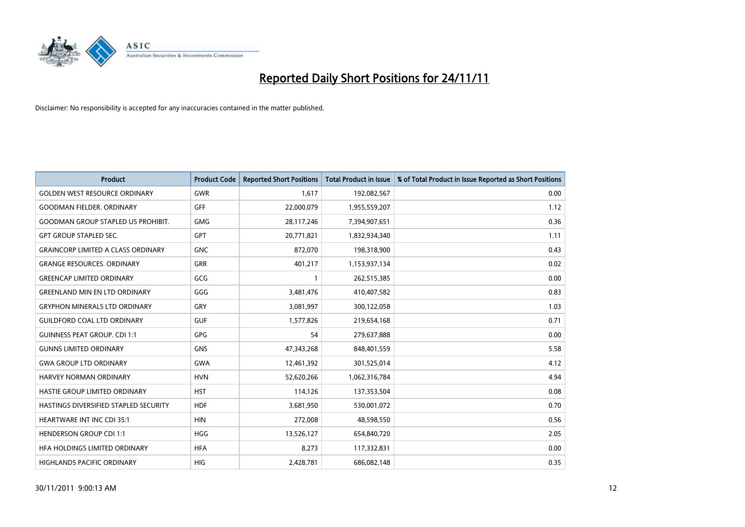

| <b>Product</b>                            | <b>Product Code</b> | <b>Reported Short Positions</b> | <b>Total Product in Issue</b> | % of Total Product in Issue Reported as Short Positions |
|-------------------------------------------|---------------------|---------------------------------|-------------------------------|---------------------------------------------------------|
| <b>GOLDEN WEST RESOURCE ORDINARY</b>      | GWR                 | 1,617                           | 192,082,567                   | 0.00                                                    |
| <b>GOODMAN FIELDER. ORDINARY</b>          | <b>GFF</b>          | 22,000,079                      | 1,955,559,207                 | 1.12                                                    |
| <b>GOODMAN GROUP STAPLED US PROHIBIT.</b> | <b>GMG</b>          | 28,117,246                      | 7,394,907,651                 | 0.36                                                    |
| <b>GPT GROUP STAPLED SEC.</b>             | <b>GPT</b>          | 20,771,821                      | 1,832,934,340                 | 1.11                                                    |
| <b>GRAINCORP LIMITED A CLASS ORDINARY</b> | <b>GNC</b>          | 872,070                         | 198,318,900                   | 0.43                                                    |
| <b>GRANGE RESOURCES, ORDINARY</b>         | <b>GRR</b>          | 401,217                         | 1,153,937,134                 | 0.02                                                    |
| <b>GREENCAP LIMITED ORDINARY</b>          | GCG                 |                                 | 262,515,385                   | 0.00                                                    |
| <b>GREENLAND MIN EN LTD ORDINARY</b>      | GGG                 | 3,481,476                       | 410,407,582                   | 0.83                                                    |
| <b>GRYPHON MINERALS LTD ORDINARY</b>      | GRY                 | 3,081,997                       | 300,122,058                   | 1.03                                                    |
| <b>GUILDFORD COAL LTD ORDINARY</b>        | <b>GUF</b>          | 1,577,826                       | 219,654,168                   | 0.71                                                    |
| <b>GUINNESS PEAT GROUP. CDI 1:1</b>       | <b>GPG</b>          | 54                              | 279,637,888                   | 0.00                                                    |
| <b>GUNNS LIMITED ORDINARY</b>             | <b>GNS</b>          | 47,343,268                      | 848,401,559                   | 5.58                                                    |
| <b>GWA GROUP LTD ORDINARY</b>             | <b>GWA</b>          | 12,461,392                      | 301,525,014                   | 4.12                                                    |
| <b>HARVEY NORMAN ORDINARY</b>             | <b>HVN</b>          | 52,620,266                      | 1,062,316,784                 | 4.94                                                    |
| HASTIE GROUP LIMITED ORDINARY             | <b>HST</b>          | 114,126                         | 137,353,504                   | 0.08                                                    |
| HASTINGS DIVERSIFIED STAPLED SECURITY     | <b>HDF</b>          | 3,681,950                       | 530,001,072                   | 0.70                                                    |
| <b>HEARTWARE INT INC CDI 35:1</b>         | <b>HIN</b>          | 272,008                         | 48,598,550                    | 0.56                                                    |
| <b>HENDERSON GROUP CDI 1:1</b>            | <b>HGG</b>          | 13,526,127                      | 654,840,720                   | 2.05                                                    |
| HFA HOLDINGS LIMITED ORDINARY             | <b>HFA</b>          | 8,273                           | 117,332,831                   | 0.00                                                    |
| HIGHLANDS PACIFIC ORDINARY                | <b>HIG</b>          | 2,428,781                       | 686,082,148                   | 0.35                                                    |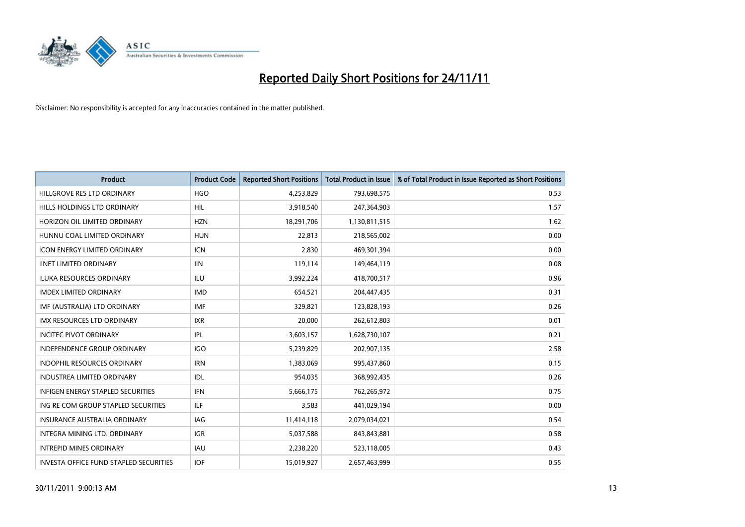

| <b>Product</b>                           | <b>Product Code</b> | <b>Reported Short Positions</b> | <b>Total Product in Issue</b> | % of Total Product in Issue Reported as Short Positions |
|------------------------------------------|---------------------|---------------------------------|-------------------------------|---------------------------------------------------------|
| HILLGROVE RES LTD ORDINARY               | <b>HGO</b>          | 4,253,829                       | 793,698,575                   | 0.53                                                    |
| HILLS HOLDINGS LTD ORDINARY              | <b>HIL</b>          | 3,918,540                       | 247,364,903                   | 1.57                                                    |
| HORIZON OIL LIMITED ORDINARY             | <b>HZN</b>          | 18,291,706                      | 1,130,811,515                 | 1.62                                                    |
| HUNNU COAL LIMITED ORDINARY              | <b>HUN</b>          | 22,813                          | 218,565,002                   | 0.00                                                    |
| <b>ICON ENERGY LIMITED ORDINARY</b>      | <b>ICN</b>          | 2,830                           | 469,301,394                   | 0.00                                                    |
| <b>IINET LIMITED ORDINARY</b>            | <b>IIN</b>          | 119,114                         | 149,464,119                   | 0.08                                                    |
| <b>ILUKA RESOURCES ORDINARY</b>          | ILU                 | 3,992,224                       | 418,700,517                   | 0.96                                                    |
| <b>IMDEX LIMITED ORDINARY</b>            | <b>IMD</b>          | 654,521                         | 204,447,435                   | 0.31                                                    |
| IMF (AUSTRALIA) LTD ORDINARY             | <b>IMF</b>          | 329,821                         | 123,828,193                   | 0.26                                                    |
| <b>IMX RESOURCES LTD ORDINARY</b>        | <b>IXR</b>          | 20,000                          | 262,612,803                   | 0.01                                                    |
| <b>INCITEC PIVOT ORDINARY</b>            | IPL                 | 3,603,157                       | 1,628,730,107                 | 0.21                                                    |
| <b>INDEPENDENCE GROUP ORDINARY</b>       | <b>IGO</b>          | 5,239,829                       | 202,907,135                   | 2.58                                                    |
| INDOPHIL RESOURCES ORDINARY              | <b>IRN</b>          | 1,383,069                       | 995,437,860                   | 0.15                                                    |
| <b>INDUSTREA LIMITED ORDINARY</b>        | IDL                 | 954,035                         | 368,992,435                   | 0.26                                                    |
| <b>INFIGEN ENERGY STAPLED SECURITIES</b> | <b>IFN</b>          | 5,666,175                       | 762,265,972                   | 0.75                                                    |
| ING RE COM GROUP STAPLED SECURITIES      | ILF                 | 3,583                           | 441,029,194                   | 0.00                                                    |
| <b>INSURANCE AUSTRALIA ORDINARY</b>      | IAG                 | 11,414,118                      | 2,079,034,021                 | 0.54                                                    |
| INTEGRA MINING LTD. ORDINARY             | <b>IGR</b>          | 5,037,588                       | 843,843,881                   | 0.58                                                    |
| <b>INTREPID MINES ORDINARY</b>           | <b>IAU</b>          | 2,238,220                       | 523,118,005                   | 0.43                                                    |
| INVESTA OFFICE FUND STAPLED SECURITIES   | <b>IOF</b>          | 15,019,927                      | 2,657,463,999                 | 0.55                                                    |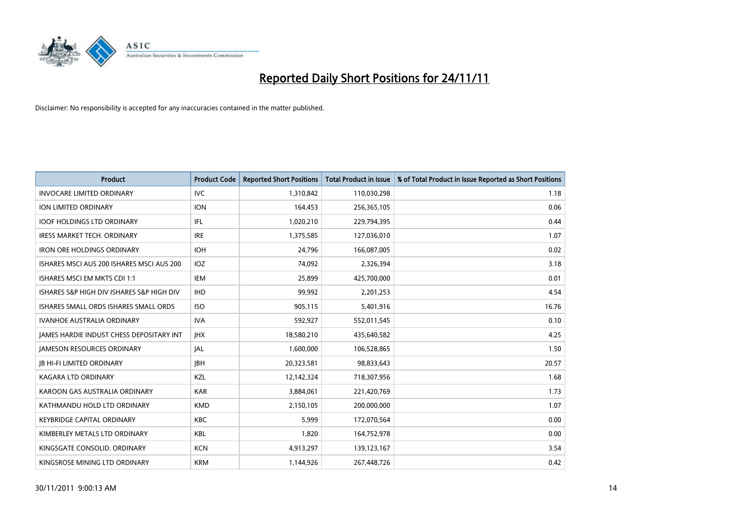

| <b>Product</b>                            | <b>Product Code</b> | <b>Reported Short Positions</b> | <b>Total Product in Issue</b> | % of Total Product in Issue Reported as Short Positions |
|-------------------------------------------|---------------------|---------------------------------|-------------------------------|---------------------------------------------------------|
| <b>INVOCARE LIMITED ORDINARY</b>          | IVC                 | 1,310,842                       | 110,030,298                   | 1.18                                                    |
| ION LIMITED ORDINARY                      | <b>ION</b>          | 164,453                         | 256,365,105                   | 0.06                                                    |
| <b>IOOF HOLDINGS LTD ORDINARY</b>         | <b>IFL</b>          | 1,020,210                       | 229,794,395                   | 0.44                                                    |
| <b>IRESS MARKET TECH. ORDINARY</b>        | <b>IRE</b>          | 1,375,585                       | 127,036,010                   | 1.07                                                    |
| <b>IRON ORE HOLDINGS ORDINARY</b>         | <b>IOH</b>          | 24,796                          | 166,087,005                   | 0.02                                                    |
| ISHARES MSCI AUS 200 ISHARES MSCI AUS 200 | <b>IOZ</b>          | 74,092                          | 2,326,394                     | 3.18                                                    |
| ISHARES MSCI EM MKTS CDI 1:1              | <b>IEM</b>          | 25,899                          | 425,700,000                   | 0.01                                                    |
| ISHARES S&P HIGH DIV ISHARES S&P HIGH DIV | <b>IHD</b>          | 99,992                          | 2,201,253                     | 4.54                                                    |
| ISHARES SMALL ORDS ISHARES SMALL ORDS     | <b>ISO</b>          | 905,115                         | 5,401,916                     | 16.76                                                   |
| <b>IVANHOE AUSTRALIA ORDINARY</b>         | <b>IVA</b>          | 592,927                         | 552,011,545                   | 0.10                                                    |
| JAMES HARDIE INDUST CHESS DEPOSITARY INT  | <b>IHX</b>          | 18,580,210                      | 435,640,582                   | 4.25                                                    |
| <b>JAMESON RESOURCES ORDINARY</b>         | <b>JAL</b>          | 1,600,000                       | 106,528,865                   | 1.50                                                    |
| <b>IB HI-FI LIMITED ORDINARY</b>          | <b>IBH</b>          | 20,323,581                      | 98,833,643                    | 20.57                                                   |
| <b>KAGARA LTD ORDINARY</b>                | KZL                 | 12,142,324                      | 718,307,956                   | 1.68                                                    |
| KAROON GAS AUSTRALIA ORDINARY             | <b>KAR</b>          | 3,884,061                       | 221,420,769                   | 1.73                                                    |
| KATHMANDU HOLD LTD ORDINARY               | <b>KMD</b>          | 2,150,105                       | 200,000,000                   | 1.07                                                    |
| <b>KEYBRIDGE CAPITAL ORDINARY</b>         | <b>KBC</b>          | 5,999                           | 172,070,564                   | 0.00                                                    |
| KIMBERLEY METALS LTD ORDINARY             | <b>KBL</b>          | 1.820                           | 164,752,978                   | 0.00                                                    |
| KINGSGATE CONSOLID. ORDINARY              | <b>KCN</b>          | 4,913,297                       | 139,123,167                   | 3.54                                                    |
| KINGSROSE MINING LTD ORDINARY             | <b>KRM</b>          | 1,144,926                       | 267,448,726                   | 0.42                                                    |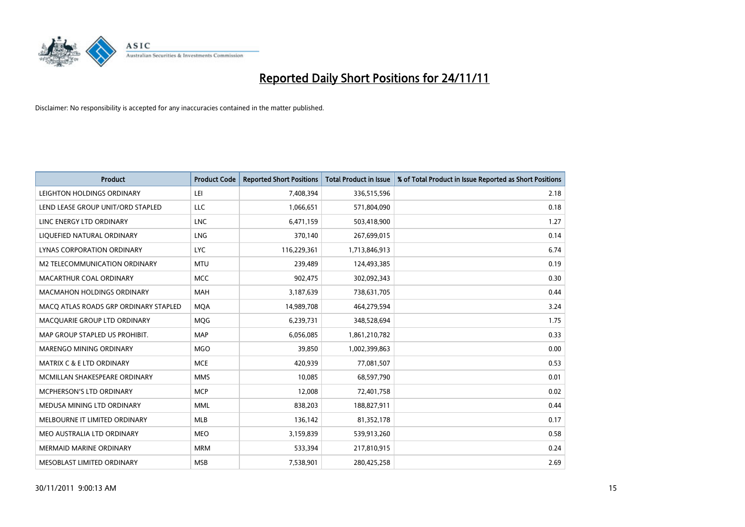

| <b>Product</b>                        | <b>Product Code</b> | <b>Reported Short Positions</b> | <b>Total Product in Issue</b> | % of Total Product in Issue Reported as Short Positions |
|---------------------------------------|---------------------|---------------------------------|-------------------------------|---------------------------------------------------------|
| LEIGHTON HOLDINGS ORDINARY            | LEI                 | 7,408,394                       | 336,515,596                   | 2.18                                                    |
| LEND LEASE GROUP UNIT/ORD STAPLED     | LLC                 | 1,066,651                       | 571,804,090                   | 0.18                                                    |
| LINC ENERGY LTD ORDINARY              | <b>LNC</b>          | 6,471,159                       | 503,418,900                   | 1.27                                                    |
| LIQUEFIED NATURAL ORDINARY            | <b>LNG</b>          | 370,140                         | 267,699,015                   | 0.14                                                    |
| <b>LYNAS CORPORATION ORDINARY</b>     | <b>LYC</b>          | 116,229,361                     | 1,713,846,913                 | 6.74                                                    |
| M2 TELECOMMUNICATION ORDINARY         | <b>MTU</b>          | 239,489                         | 124,493,385                   | 0.19                                                    |
| MACARTHUR COAL ORDINARY               | <b>MCC</b>          | 902,475                         | 302,092,343                   | 0.30                                                    |
| <b>MACMAHON HOLDINGS ORDINARY</b>     | <b>MAH</b>          | 3,187,639                       | 738,631,705                   | 0.44                                                    |
| MACO ATLAS ROADS GRP ORDINARY STAPLED | <b>MQA</b>          | 14,989,708                      | 464,279,594                   | 3.24                                                    |
| MACOUARIE GROUP LTD ORDINARY          | <b>MOG</b>          | 6,239,731                       | 348,528,694                   | 1.75                                                    |
| MAP GROUP STAPLED US PROHIBIT.        | <b>MAP</b>          | 6,056,085                       | 1,861,210,782                 | 0.33                                                    |
| MARENGO MINING ORDINARY               | <b>MGO</b>          | 39,850                          | 1,002,399,863                 | 0.00                                                    |
| <b>MATRIX C &amp; E LTD ORDINARY</b>  | <b>MCE</b>          | 420,939                         | 77,081,507                    | 0.53                                                    |
| MCMILLAN SHAKESPEARE ORDINARY         | <b>MMS</b>          | 10,085                          | 68,597,790                    | 0.01                                                    |
| MCPHERSON'S LTD ORDINARY              | <b>MCP</b>          | 12,008                          | 72,401,758                    | 0.02                                                    |
| MEDUSA MINING LTD ORDINARY            | <b>MML</b>          | 838,203                         | 188,827,911                   | 0.44                                                    |
| MELBOURNE IT LIMITED ORDINARY         | <b>MLB</b>          | 136,142                         | 81,352,178                    | 0.17                                                    |
| MEO AUSTRALIA LTD ORDINARY            | <b>MEO</b>          | 3,159,839                       | 539,913,260                   | 0.58                                                    |
| <b>MERMAID MARINE ORDINARY</b>        | <b>MRM</b>          | 533,394                         | 217,810,915                   | 0.24                                                    |
| MESOBLAST LIMITED ORDINARY            | <b>MSB</b>          | 7,538,901                       | 280,425,258                   | 2.69                                                    |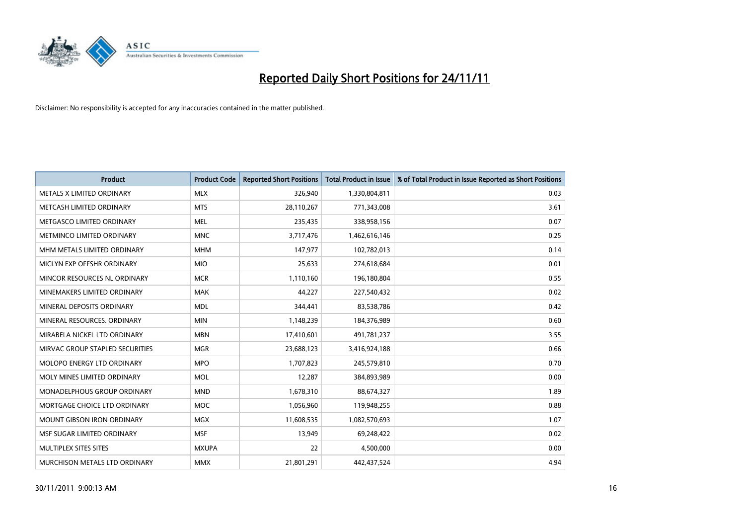

| <b>Product</b>                     | <b>Product Code</b> | <b>Reported Short Positions</b> | <b>Total Product in Issue</b> | % of Total Product in Issue Reported as Short Positions |
|------------------------------------|---------------------|---------------------------------|-------------------------------|---------------------------------------------------------|
| METALS X LIMITED ORDINARY          | <b>MLX</b>          | 326,940                         | 1,330,804,811                 | 0.03                                                    |
| METCASH LIMITED ORDINARY           | <b>MTS</b>          | 28,110,267                      | 771,343,008                   | 3.61                                                    |
| METGASCO LIMITED ORDINARY          | <b>MEL</b>          | 235,435                         | 338,958,156                   | 0.07                                                    |
| METMINCO LIMITED ORDINARY          | <b>MNC</b>          | 3,717,476                       | 1,462,616,146                 | 0.25                                                    |
| MHM METALS LIMITED ORDINARY        | <b>MHM</b>          | 147,977                         | 102,782,013                   | 0.14                                                    |
| MICLYN EXP OFFSHR ORDINARY         | <b>MIO</b>          | 25,633                          | 274,618,684                   | 0.01                                                    |
| MINCOR RESOURCES NL ORDINARY       | <b>MCR</b>          | 1,110,160                       | 196,180,804                   | 0.55                                                    |
| MINEMAKERS LIMITED ORDINARY        | <b>MAK</b>          | 44,227                          | 227,540,432                   | 0.02                                                    |
| MINERAL DEPOSITS ORDINARY          | <b>MDL</b>          | 344,441                         | 83,538,786                    | 0.42                                                    |
| MINERAL RESOURCES, ORDINARY        | <b>MIN</b>          | 1,148,239                       | 184,376,989                   | 0.60                                                    |
| MIRABELA NICKEL LTD ORDINARY       | <b>MBN</b>          | 17,410,601                      | 491,781,237                   | 3.55                                                    |
| MIRVAC GROUP STAPLED SECURITIES    | <b>MGR</b>          | 23,688,123                      | 3,416,924,188                 | 0.66                                                    |
| MOLOPO ENERGY LTD ORDINARY         | <b>MPO</b>          | 1,707,823                       | 245,579,810                   | 0.70                                                    |
| MOLY MINES LIMITED ORDINARY        | <b>MOL</b>          | 12,287                          | 384,893,989                   | 0.00                                                    |
| <b>MONADELPHOUS GROUP ORDINARY</b> | <b>MND</b>          | 1,678,310                       | 88,674,327                    | 1.89                                                    |
| MORTGAGE CHOICE LTD ORDINARY       | <b>MOC</b>          | 1,056,960                       | 119,948,255                   | 0.88                                                    |
| MOUNT GIBSON IRON ORDINARY         | <b>MGX</b>          | 11,608,535                      | 1,082,570,693                 | 1.07                                                    |
| MSF SUGAR LIMITED ORDINARY         | <b>MSF</b>          | 13,949                          | 69,248,422                    | 0.02                                                    |
| MULTIPLEX SITES SITES              | <b>MXUPA</b>        | 22                              | 4,500,000                     | 0.00                                                    |
| MURCHISON METALS LTD ORDINARY      | <b>MMX</b>          | 21,801,291                      | 442,437,524                   | 4.94                                                    |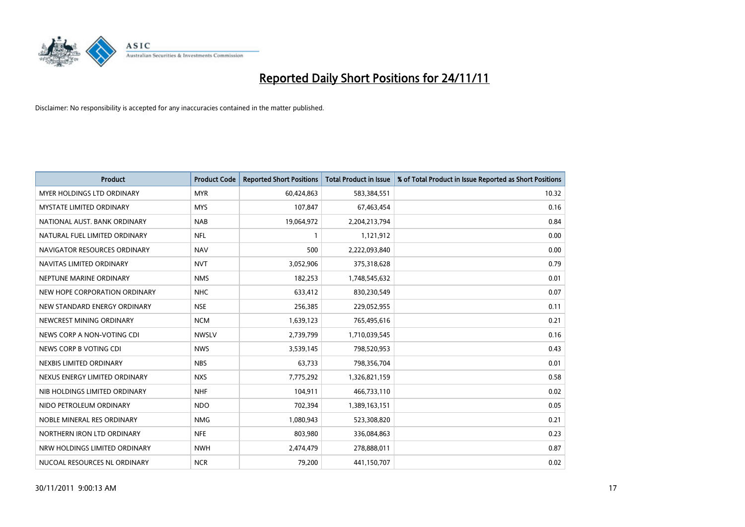

| <b>Product</b>                    | <b>Product Code</b> | <b>Reported Short Positions</b> | <b>Total Product in Issue</b> | % of Total Product in Issue Reported as Short Positions |
|-----------------------------------|---------------------|---------------------------------|-------------------------------|---------------------------------------------------------|
| <b>MYER HOLDINGS LTD ORDINARY</b> | <b>MYR</b>          | 60,424,863                      | 583,384,551                   | 10.32                                                   |
| <b>MYSTATE LIMITED ORDINARY</b>   | <b>MYS</b>          | 107,847                         | 67,463,454                    | 0.16                                                    |
| NATIONAL AUST, BANK ORDINARY      | <b>NAB</b>          | 19,064,972                      | 2,204,213,794                 | 0.84                                                    |
| NATURAL FUEL LIMITED ORDINARY     | <b>NFL</b>          | 1                               | 1,121,912                     | 0.00                                                    |
| NAVIGATOR RESOURCES ORDINARY      | <b>NAV</b>          | 500                             | 2,222,093,840                 | 0.00                                                    |
| NAVITAS LIMITED ORDINARY          | <b>NVT</b>          | 3,052,906                       | 375,318,628                   | 0.79                                                    |
| NEPTUNE MARINE ORDINARY           | <b>NMS</b>          | 182,253                         | 1,748,545,632                 | 0.01                                                    |
| NEW HOPE CORPORATION ORDINARY     | <b>NHC</b>          | 633,412                         | 830,230,549                   | 0.07                                                    |
| NEW STANDARD ENERGY ORDINARY      | <b>NSE</b>          | 256,385                         | 229,052,955                   | 0.11                                                    |
| NEWCREST MINING ORDINARY          | <b>NCM</b>          | 1,639,123                       | 765,495,616                   | 0.21                                                    |
| NEWS CORP A NON-VOTING CDI        | <b>NWSLV</b>        | 2,739,799                       | 1,710,039,545                 | 0.16                                                    |
| NEWS CORP B VOTING CDI            | <b>NWS</b>          | 3,539,145                       | 798,520,953                   | 0.43                                                    |
| NEXBIS LIMITED ORDINARY           | <b>NBS</b>          | 63,733                          | 798,356,704                   | 0.01                                                    |
| NEXUS ENERGY LIMITED ORDINARY     | <b>NXS</b>          | 7,775,292                       | 1,326,821,159                 | 0.58                                                    |
| NIB HOLDINGS LIMITED ORDINARY     | <b>NHF</b>          | 104,911                         | 466,733,110                   | 0.02                                                    |
| NIDO PETROLEUM ORDINARY           | <b>NDO</b>          | 702,394                         | 1,389,163,151                 | 0.05                                                    |
| NOBLE MINERAL RES ORDINARY        | <b>NMG</b>          | 1,080,943                       | 523,308,820                   | 0.21                                                    |
| NORTHERN IRON LTD ORDINARY        | <b>NFE</b>          | 803,980                         | 336,084,863                   | 0.23                                                    |
| NRW HOLDINGS LIMITED ORDINARY     | <b>NWH</b>          | 2,474,479                       | 278,888,011                   | 0.87                                                    |
| NUCOAL RESOURCES NL ORDINARY      | <b>NCR</b>          | 79,200                          | 441,150,707                   | 0.02                                                    |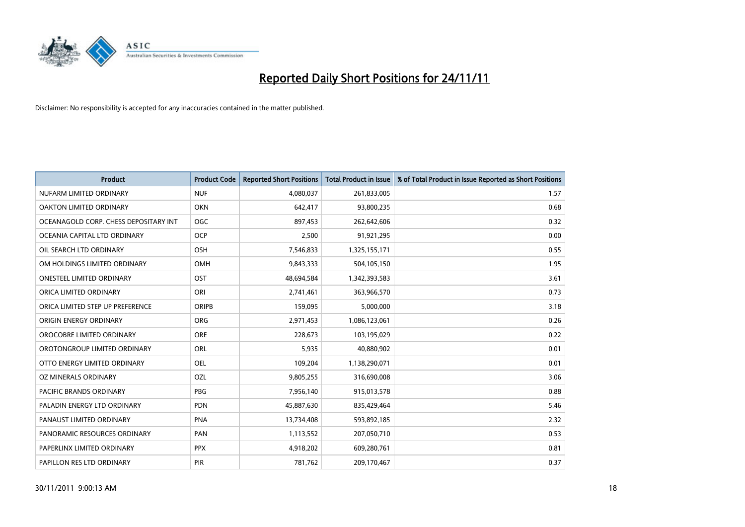

| <b>Product</b>                        | <b>Product Code</b> | <b>Reported Short Positions</b> | <b>Total Product in Issue</b> | % of Total Product in Issue Reported as Short Positions |
|---------------------------------------|---------------------|---------------------------------|-------------------------------|---------------------------------------------------------|
| NUFARM LIMITED ORDINARY               | <b>NUF</b>          | 4,080,037                       | 261,833,005                   | 1.57                                                    |
| OAKTON LIMITED ORDINARY               | <b>OKN</b>          | 642,417                         | 93,800,235                    | 0.68                                                    |
| OCEANAGOLD CORP. CHESS DEPOSITARY INT | <b>OGC</b>          | 897,453                         | 262,642,606                   | 0.32                                                    |
| OCEANIA CAPITAL LTD ORDINARY          | <b>OCP</b>          | 2,500                           | 91,921,295                    | 0.00                                                    |
| OIL SEARCH LTD ORDINARY               | <b>OSH</b>          | 7,546,833                       | 1,325,155,171                 | 0.55                                                    |
| OM HOLDINGS LIMITED ORDINARY          | <b>OMH</b>          | 9,843,333                       | 504,105,150                   | 1.95                                                    |
| <b>ONESTEEL LIMITED ORDINARY</b>      | OST                 | 48,694,584                      | 1,342,393,583                 | 3.61                                                    |
| ORICA LIMITED ORDINARY                | ORI                 | 2,741,461                       | 363,966,570                   | 0.73                                                    |
| ORICA LIMITED STEP UP PREFERENCE      | <b>ORIPB</b>        | 159,095                         | 5,000,000                     | 3.18                                                    |
| ORIGIN ENERGY ORDINARY                | <b>ORG</b>          | 2,971,453                       | 1,086,123,061                 | 0.26                                                    |
| OROCOBRE LIMITED ORDINARY             | <b>ORE</b>          | 228,673                         | 103,195,029                   | 0.22                                                    |
| OROTONGROUP LIMITED ORDINARY          | <b>ORL</b>          | 5,935                           | 40,880,902                    | 0.01                                                    |
| OTTO ENERGY LIMITED ORDINARY          | OEL                 | 109,204                         | 1,138,290,071                 | 0.01                                                    |
| OZ MINERALS ORDINARY                  | OZL                 | 9,805,255                       | 316,690,008                   | 3.06                                                    |
| <b>PACIFIC BRANDS ORDINARY</b>        | PBG                 | 7,956,140                       | 915,013,578                   | 0.88                                                    |
| PALADIN ENERGY LTD ORDINARY           | <b>PDN</b>          | 45,887,630                      | 835,429,464                   | 5.46                                                    |
| PANAUST LIMITED ORDINARY              | <b>PNA</b>          | 13,734,408                      | 593,892,185                   | 2.32                                                    |
| PANORAMIC RESOURCES ORDINARY          | PAN                 | 1,113,552                       | 207,050,710                   | 0.53                                                    |
| PAPERLINX LIMITED ORDINARY            | <b>PPX</b>          | 4,918,202                       | 609,280,761                   | 0.81                                                    |
| PAPILLON RES LTD ORDINARY             | <b>PIR</b>          | 781,762                         | 209,170,467                   | 0.37                                                    |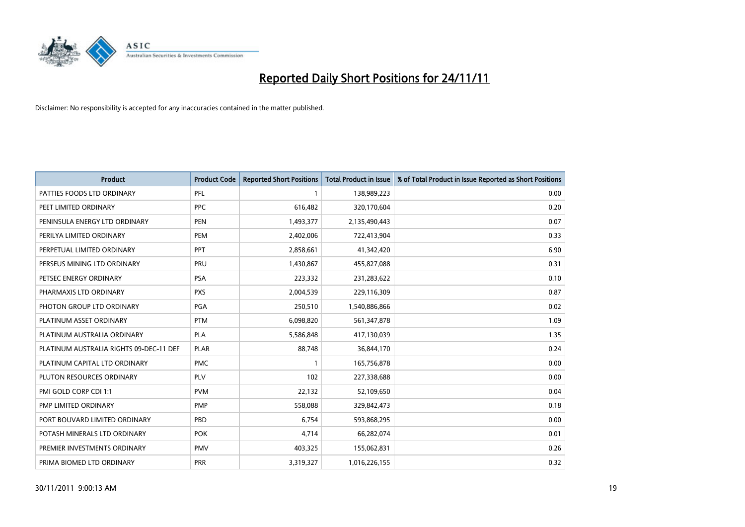

| <b>Product</b>                          | <b>Product Code</b> | <b>Reported Short Positions</b> | <b>Total Product in Issue</b> | % of Total Product in Issue Reported as Short Positions |
|-----------------------------------------|---------------------|---------------------------------|-------------------------------|---------------------------------------------------------|
| PATTIES FOODS LTD ORDINARY              | PFL                 |                                 | 138,989,223                   | 0.00                                                    |
| PEET LIMITED ORDINARY                   | <b>PPC</b>          | 616,482                         | 320,170,604                   | 0.20                                                    |
| PENINSULA ENERGY LTD ORDINARY           | <b>PEN</b>          | 1,493,377                       | 2,135,490,443                 | 0.07                                                    |
| PERILYA LIMITED ORDINARY                | PEM                 | 2,402,006                       | 722,413,904                   | 0.33                                                    |
| PERPETUAL LIMITED ORDINARY              | <b>PPT</b>          | 2,858,661                       | 41,342,420                    | 6.90                                                    |
| PERSEUS MINING LTD ORDINARY             | PRU                 | 1,430,867                       | 455,827,088                   | 0.31                                                    |
| PETSEC ENERGY ORDINARY                  | <b>PSA</b>          | 223,332                         | 231,283,622                   | 0.10                                                    |
| PHARMAXIS LTD ORDINARY                  | <b>PXS</b>          | 2,004,539                       | 229,116,309                   | 0.87                                                    |
| PHOTON GROUP LTD ORDINARY               | <b>PGA</b>          | 250,510                         | 1,540,886,866                 | 0.02                                                    |
| PLATINUM ASSET ORDINARY                 | <b>PTM</b>          | 6,098,820                       | 561,347,878                   | 1.09                                                    |
| PLATINUM AUSTRALIA ORDINARY             | <b>PLA</b>          | 5,586,848                       | 417,130,039                   | 1.35                                                    |
| PLATINUM AUSTRALIA RIGHTS 09-DEC-11 DEF | <b>PLAR</b>         | 88,748                          | 36,844,170                    | 0.24                                                    |
| PLATINUM CAPITAL LTD ORDINARY           | <b>PMC</b>          |                                 | 165,756,878                   | 0.00                                                    |
| PLUTON RESOURCES ORDINARY               | <b>PLV</b>          | 102                             | 227,338,688                   | 0.00                                                    |
| PMI GOLD CORP CDI 1:1                   | <b>PVM</b>          | 22,132                          | 52,109,650                    | 0.04                                                    |
| PMP LIMITED ORDINARY                    | <b>PMP</b>          | 558,088                         | 329,842,473                   | 0.18                                                    |
| PORT BOUVARD LIMITED ORDINARY           | PBD                 | 6,754                           | 593,868,295                   | 0.00                                                    |
| POTASH MINERALS LTD ORDINARY            | <b>POK</b>          | 4,714                           | 66,282,074                    | 0.01                                                    |
| PREMIER INVESTMENTS ORDINARY            | <b>PMV</b>          | 403,325                         | 155,062,831                   | 0.26                                                    |
| PRIMA BIOMED LTD ORDINARY               | <b>PRR</b>          | 3,319,327                       | 1,016,226,155                 | 0.32                                                    |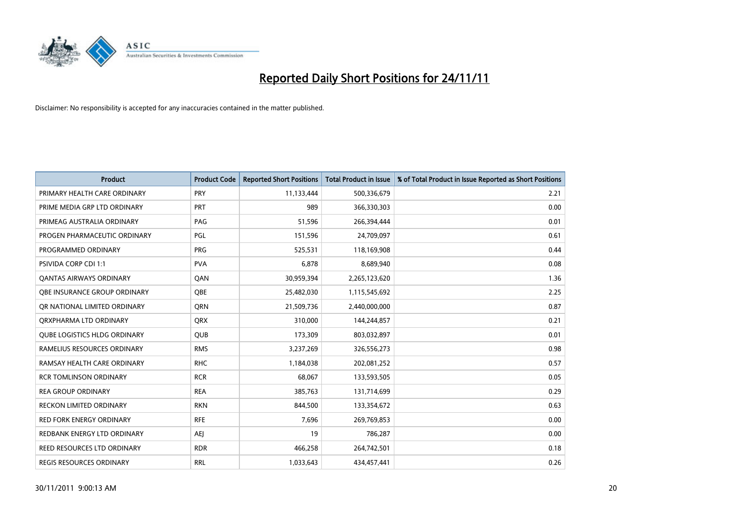

| <b>Product</b>                      | <b>Product Code</b> | <b>Reported Short Positions</b> | <b>Total Product in Issue</b> | % of Total Product in Issue Reported as Short Positions |
|-------------------------------------|---------------------|---------------------------------|-------------------------------|---------------------------------------------------------|
| PRIMARY HEALTH CARE ORDINARY        | PRY                 | 11,133,444                      | 500,336,679                   | 2.21                                                    |
| PRIME MEDIA GRP LTD ORDINARY        | PRT                 | 989                             | 366,330,303                   | 0.00                                                    |
| PRIMEAG AUSTRALIA ORDINARY          | PAG                 | 51,596                          | 266,394,444                   | 0.01                                                    |
| PROGEN PHARMACEUTIC ORDINARY        | PGL                 | 151,596                         | 24,709,097                    | 0.61                                                    |
| PROGRAMMED ORDINARY                 | <b>PRG</b>          | 525,531                         | 118,169,908                   | 0.44                                                    |
| PSIVIDA CORP CDI 1:1                | <b>PVA</b>          | 6,878                           | 8,689,940                     | 0.08                                                    |
| <b>QANTAS AIRWAYS ORDINARY</b>      | QAN                 | 30,959,394                      | 2,265,123,620                 | 1.36                                                    |
| <b>OBE INSURANCE GROUP ORDINARY</b> | <b>OBE</b>          | 25,482,030                      | 1,115,545,692                 | 2.25                                                    |
| OR NATIONAL LIMITED ORDINARY        | <b>ORN</b>          | 21,509,736                      | 2,440,000,000                 | 0.87                                                    |
| ORXPHARMA LTD ORDINARY              | <b>QRX</b>          | 310,000                         | 144,244,857                   | 0.21                                                    |
| <b>QUBE LOGISTICS HLDG ORDINARY</b> | QUB                 | 173,309                         | 803,032,897                   | 0.01                                                    |
| RAMELIUS RESOURCES ORDINARY         | <b>RMS</b>          | 3,237,269                       | 326,556,273                   | 0.98                                                    |
| RAMSAY HEALTH CARE ORDINARY         | <b>RHC</b>          | 1,184,038                       | 202,081,252                   | 0.57                                                    |
| <b>RCR TOMLINSON ORDINARY</b>       | <b>RCR</b>          | 68,067                          | 133,593,505                   | 0.05                                                    |
| <b>REA GROUP ORDINARY</b>           | <b>REA</b>          | 385,763                         | 131,714,699                   | 0.29                                                    |
| <b>RECKON LIMITED ORDINARY</b>      | <b>RKN</b>          | 844,500                         | 133,354,672                   | 0.63                                                    |
| <b>RED FORK ENERGY ORDINARY</b>     | <b>RFE</b>          | 7,696                           | 269,769,853                   | 0.00                                                    |
| REDBANK ENERGY LTD ORDINARY         | AEJ                 | 19                              | 786,287                       | 0.00                                                    |
| REED RESOURCES LTD ORDINARY         | <b>RDR</b>          | 466,258                         | 264,742,501                   | 0.18                                                    |
| REGIS RESOURCES ORDINARY            | <b>RRL</b>          | 1,033,643                       | 434,457,441                   | 0.26                                                    |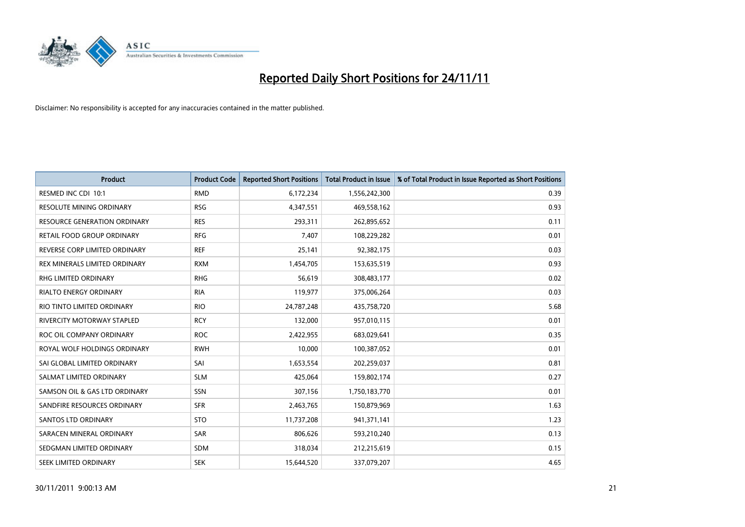

| <b>Product</b>                      | <b>Product Code</b> | <b>Reported Short Positions</b> | <b>Total Product in Issue</b> | % of Total Product in Issue Reported as Short Positions |
|-------------------------------------|---------------------|---------------------------------|-------------------------------|---------------------------------------------------------|
| RESMED INC CDI 10:1                 | <b>RMD</b>          | 6,172,234                       | 1,556,242,300                 | 0.39                                                    |
| RESOLUTE MINING ORDINARY            | <b>RSG</b>          | 4,347,551                       | 469,558,162                   | 0.93                                                    |
| <b>RESOURCE GENERATION ORDINARY</b> | <b>RES</b>          | 293,311                         | 262,895,652                   | 0.11                                                    |
| RETAIL FOOD GROUP ORDINARY          | <b>RFG</b>          | 7,407                           | 108,229,282                   | 0.01                                                    |
| REVERSE CORP LIMITED ORDINARY       | <b>REF</b>          | 25,141                          | 92,382,175                    | 0.03                                                    |
| REX MINERALS LIMITED ORDINARY       | <b>RXM</b>          | 1,454,705                       | 153,635,519                   | 0.93                                                    |
| RHG LIMITED ORDINARY                | <b>RHG</b>          | 56,619                          | 308,483,177                   | 0.02                                                    |
| RIALTO ENERGY ORDINARY              | <b>RIA</b>          | 119,977                         | 375,006,264                   | 0.03                                                    |
| RIO TINTO LIMITED ORDINARY          | <b>RIO</b>          | 24,787,248                      | 435,758,720                   | 5.68                                                    |
| RIVERCITY MOTORWAY STAPLED          | <b>RCY</b>          | 132,000                         | 957,010,115                   | 0.01                                                    |
| ROC OIL COMPANY ORDINARY            | <b>ROC</b>          | 2,422,955                       | 683,029,641                   | 0.35                                                    |
| ROYAL WOLF HOLDINGS ORDINARY        | <b>RWH</b>          | 10,000                          | 100,387,052                   | 0.01                                                    |
| SAI GLOBAL LIMITED ORDINARY         | SAI                 | 1,653,554                       | 202,259,037                   | 0.81                                                    |
| SALMAT LIMITED ORDINARY             | <b>SLM</b>          | 425,064                         | 159,802,174                   | 0.27                                                    |
| SAMSON OIL & GAS LTD ORDINARY       | SSN                 | 307,156                         | 1,750,183,770                 | 0.01                                                    |
| SANDFIRE RESOURCES ORDINARY         | <b>SFR</b>          | 2,463,765                       | 150,879,969                   | 1.63                                                    |
| <b>SANTOS LTD ORDINARY</b>          | <b>STO</b>          | 11,737,208                      | 941,371,141                   | 1.23                                                    |
| SARACEN MINERAL ORDINARY            | <b>SAR</b>          | 806,626                         | 593,210,240                   | 0.13                                                    |
| SEDGMAN LIMITED ORDINARY            | <b>SDM</b>          | 318,034                         | 212,215,619                   | 0.15                                                    |
| SEEK LIMITED ORDINARY               | <b>SEK</b>          | 15,644,520                      | 337,079,207                   | 4.65                                                    |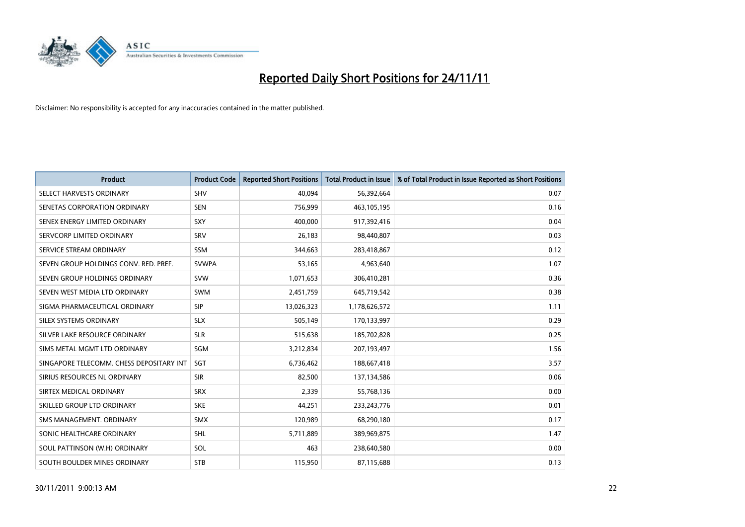

| <b>Product</b>                           | <b>Product Code</b> | <b>Reported Short Positions</b> | <b>Total Product in Issue</b> | % of Total Product in Issue Reported as Short Positions |
|------------------------------------------|---------------------|---------------------------------|-------------------------------|---------------------------------------------------------|
| SELECT HARVESTS ORDINARY                 | <b>SHV</b>          | 40,094                          | 56,392,664                    | 0.07                                                    |
| SENETAS CORPORATION ORDINARY             | <b>SEN</b>          | 756,999                         | 463,105,195                   | 0.16                                                    |
| SENEX ENERGY LIMITED ORDINARY            | SXY                 | 400,000                         | 917,392,416                   | 0.04                                                    |
| SERVCORP LIMITED ORDINARY                | SRV                 | 26,183                          | 98,440,807                    | 0.03                                                    |
| SERVICE STREAM ORDINARY                  | <b>SSM</b>          | 344,663                         | 283,418,867                   | 0.12                                                    |
| SEVEN GROUP HOLDINGS CONV. RED. PREF.    | <b>SVWPA</b>        | 53,165                          | 4,963,640                     | 1.07                                                    |
| SEVEN GROUP HOLDINGS ORDINARY            | <b>SVW</b>          | 1,071,653                       | 306,410,281                   | 0.36                                                    |
| SEVEN WEST MEDIA LTD ORDINARY            | <b>SWM</b>          | 2,451,759                       | 645,719,542                   | 0.38                                                    |
| SIGMA PHARMACEUTICAL ORDINARY            | <b>SIP</b>          | 13,026,323                      | 1,178,626,572                 | 1.11                                                    |
| SILEX SYSTEMS ORDINARY                   | <b>SLX</b>          | 505,149                         | 170,133,997                   | 0.29                                                    |
| SILVER LAKE RESOURCE ORDINARY            | <b>SLR</b>          | 515,638                         | 185,702,828                   | 0.25                                                    |
| SIMS METAL MGMT LTD ORDINARY             | SGM                 | 3,212,834                       | 207,193,497                   | 1.56                                                    |
| SINGAPORE TELECOMM. CHESS DEPOSITARY INT | SGT                 | 6,736,462                       | 188,667,418                   | 3.57                                                    |
| SIRIUS RESOURCES NL ORDINARY             | <b>SIR</b>          | 82,500                          | 137,134,586                   | 0.06                                                    |
| SIRTEX MEDICAL ORDINARY                  | <b>SRX</b>          | 2,339                           | 55,768,136                    | 0.00                                                    |
| SKILLED GROUP LTD ORDINARY               | <b>SKE</b>          | 44,251                          | 233, 243, 776                 | 0.01                                                    |
| SMS MANAGEMENT. ORDINARY                 | <b>SMX</b>          | 120,989                         | 68,290,180                    | 0.17                                                    |
| SONIC HEALTHCARE ORDINARY                | <b>SHL</b>          | 5,711,889                       | 389,969,875                   | 1.47                                                    |
| SOUL PATTINSON (W.H) ORDINARY            | SOL                 | 463                             | 238,640,580                   | 0.00                                                    |
| SOUTH BOULDER MINES ORDINARY             | <b>STB</b>          | 115,950                         | 87,115,688                    | 0.13                                                    |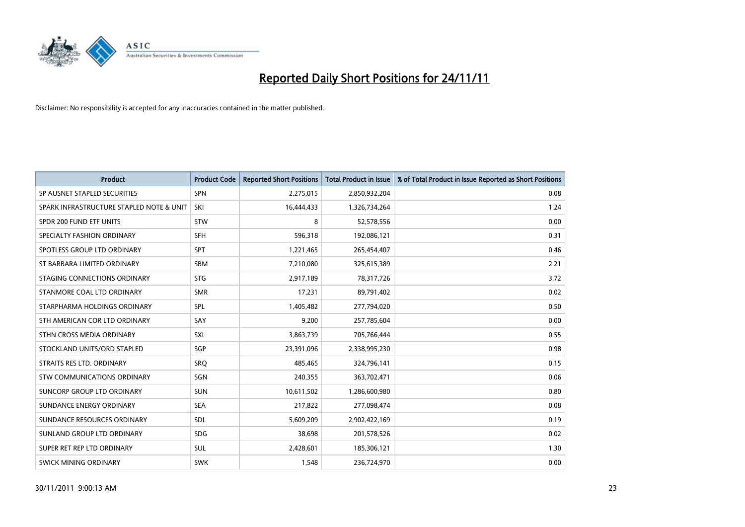

| <b>Product</b>                           | <b>Product Code</b> | <b>Reported Short Positions</b> | <b>Total Product in Issue</b> | % of Total Product in Issue Reported as Short Positions |
|------------------------------------------|---------------------|---------------------------------|-------------------------------|---------------------------------------------------------|
| SP AUSNET STAPLED SECURITIES             | <b>SPN</b>          | 2,275,015                       | 2,850,932,204                 | 0.08                                                    |
| SPARK INFRASTRUCTURE STAPLED NOTE & UNIT | SKI                 | 16,444,433                      | 1,326,734,264                 | 1.24                                                    |
| SPDR 200 FUND ETF UNITS                  | <b>STW</b>          | 8                               | 52,578,556                    | 0.00                                                    |
| SPECIALTY FASHION ORDINARY               | <b>SFH</b>          | 596,318                         | 192,086,121                   | 0.31                                                    |
| SPOTLESS GROUP LTD ORDINARY              | <b>SPT</b>          | 1,221,465                       | 265,454,407                   | 0.46                                                    |
| ST BARBARA LIMITED ORDINARY              | <b>SBM</b>          | 7,210,080                       | 325,615,389                   | 2.21                                                    |
| STAGING CONNECTIONS ORDINARY             | <b>STG</b>          | 2,917,189                       | 78,317,726                    | 3.72                                                    |
| STANMORE COAL LTD ORDINARY               | <b>SMR</b>          | 17,231                          | 89,791,402                    | 0.02                                                    |
| STARPHARMA HOLDINGS ORDINARY             | SPL                 | 1,405,482                       | 277,794,020                   | 0.50                                                    |
| STH AMERICAN COR LTD ORDINARY            | SAY                 | 9.200                           | 257,785,604                   | 0.00                                                    |
| STHN CROSS MEDIA ORDINARY                | <b>SXL</b>          | 3,863,739                       | 705,766,444                   | 0.55                                                    |
| STOCKLAND UNITS/ORD STAPLED              | SGP                 | 23,391,096                      | 2,338,995,230                 | 0.98                                                    |
| STRAITS RES LTD. ORDINARY                | SRO                 | 485.465                         | 324,796,141                   | 0.15                                                    |
| <b>STW COMMUNICATIONS ORDINARY</b>       | SGN                 | 240,355                         | 363,702,471                   | 0.06                                                    |
| SUNCORP GROUP LTD ORDINARY               | <b>SUN</b>          | 10,611,502                      | 1,286,600,980                 | 0.80                                                    |
| SUNDANCE ENERGY ORDINARY                 | <b>SEA</b>          | 217,822                         | 277,098,474                   | 0.08                                                    |
| SUNDANCE RESOURCES ORDINARY              | <b>SDL</b>          | 5,609,209                       | 2,902,422,169                 | 0.19                                                    |
| SUNLAND GROUP LTD ORDINARY               | <b>SDG</b>          | 38,698                          | 201,578,526                   | 0.02                                                    |
| SUPER RET REP LTD ORDINARY               | <b>SUL</b>          | 2,428,601                       | 185,306,121                   | 1.30                                                    |
| SWICK MINING ORDINARY                    | <b>SWK</b>          | 1.548                           | 236,724,970                   | 0.00                                                    |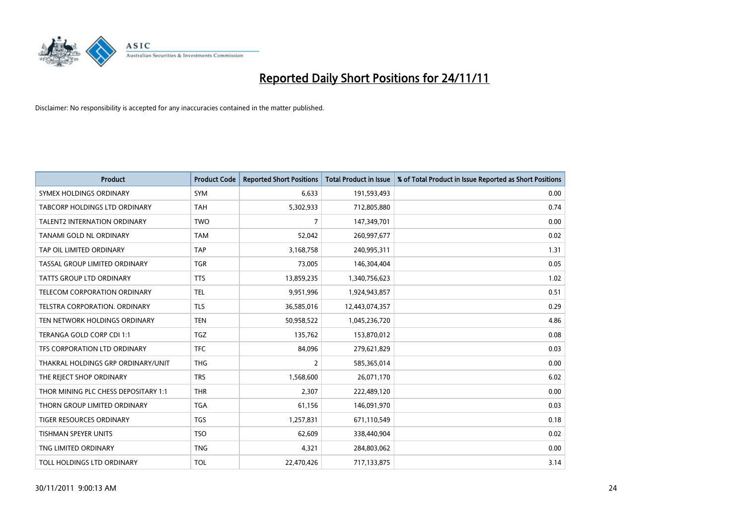

| <b>Product</b>                       | <b>Product Code</b> | <b>Reported Short Positions</b> | <b>Total Product in Issue</b> | % of Total Product in Issue Reported as Short Positions |
|--------------------------------------|---------------------|---------------------------------|-------------------------------|---------------------------------------------------------|
| SYMEX HOLDINGS ORDINARY              | <b>SYM</b>          | 6.633                           | 191,593,493                   | 0.00                                                    |
| TABCORP HOLDINGS LTD ORDINARY        | <b>TAH</b>          | 5,302,933                       | 712,805,880                   | 0.74                                                    |
| <b>TALENT2 INTERNATION ORDINARY</b>  | <b>TWO</b>          | $\overline{7}$                  | 147,349,701                   | 0.00                                                    |
| TANAMI GOLD NL ORDINARY              | <b>TAM</b>          | 52,042                          | 260,997,677                   | 0.02                                                    |
| TAP OIL LIMITED ORDINARY             | <b>TAP</b>          | 3,168,758                       | 240,995,311                   | 1.31                                                    |
| TASSAL GROUP LIMITED ORDINARY        | <b>TGR</b>          | 73,005                          | 146,304,404                   | 0.05                                                    |
| <b>TATTS GROUP LTD ORDINARY</b>      | <b>TTS</b>          | 13,859,235                      | 1,340,756,623                 | 1.02                                                    |
| TELECOM CORPORATION ORDINARY         | <b>TEL</b>          | 9,951,996                       | 1,924,943,857                 | 0.51                                                    |
| TELSTRA CORPORATION, ORDINARY        | <b>TLS</b>          | 36,585,016                      | 12,443,074,357                | 0.29                                                    |
| TEN NETWORK HOLDINGS ORDINARY        | <b>TEN</b>          | 50,958,522                      | 1,045,236,720                 | 4.86                                                    |
| TERANGA GOLD CORP CDI 1:1            | <b>TGZ</b>          | 135,762                         | 153,870,012                   | 0.08                                                    |
| TFS CORPORATION LTD ORDINARY         | <b>TFC</b>          | 84,096                          | 279,621,829                   | 0.03                                                    |
| THAKRAL HOLDINGS GRP ORDINARY/UNIT   | <b>THG</b>          | $\overline{2}$                  | 585,365,014                   | 0.00                                                    |
| THE REJECT SHOP ORDINARY             | <b>TRS</b>          | 1,568,600                       | 26,071,170                    | 6.02                                                    |
| THOR MINING PLC CHESS DEPOSITARY 1:1 | <b>THR</b>          | 2,307                           | 222,489,120                   | 0.00                                                    |
| THORN GROUP LIMITED ORDINARY         | <b>TGA</b>          | 61,156                          | 146,091,970                   | 0.03                                                    |
| TIGER RESOURCES ORDINARY             | <b>TGS</b>          | 1,257,831                       | 671,110,549                   | 0.18                                                    |
| TISHMAN SPEYER UNITS                 | <b>TSO</b>          | 62,609                          | 338,440,904                   | 0.02                                                    |
| TNG LIMITED ORDINARY                 | <b>TNG</b>          | 4,321                           | 284,803,062                   | 0.00                                                    |
| TOLL HOLDINGS LTD ORDINARY           | <b>TOL</b>          | 22,470,426                      | 717,133,875                   | 3.14                                                    |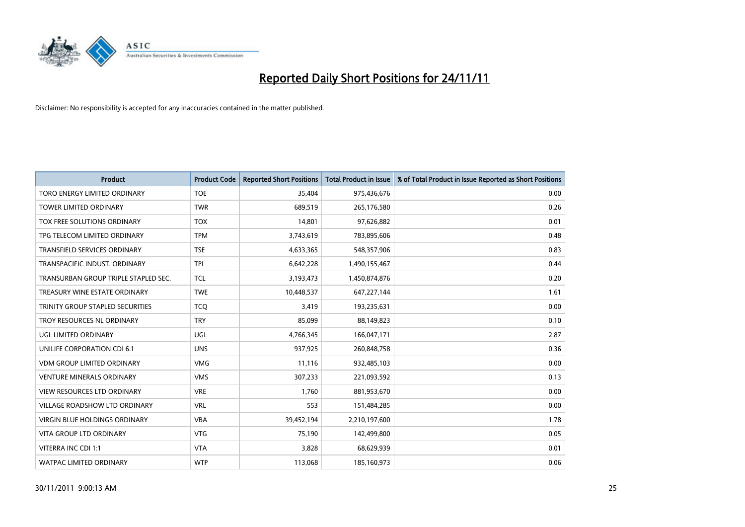

| <b>Product</b>                       | <b>Product Code</b> | <b>Reported Short Positions</b> | <b>Total Product in Issue</b> | % of Total Product in Issue Reported as Short Positions |
|--------------------------------------|---------------------|---------------------------------|-------------------------------|---------------------------------------------------------|
| TORO ENERGY LIMITED ORDINARY         | <b>TOE</b>          | 35.404                          | 975,436,676                   | 0.00                                                    |
| <b>TOWER LIMITED ORDINARY</b>        | <b>TWR</b>          | 689,519                         | 265,176,580                   | 0.26                                                    |
| TOX FREE SOLUTIONS ORDINARY          | <b>TOX</b>          | 14.801                          | 97,626,882                    | 0.01                                                    |
| TPG TELECOM LIMITED ORDINARY         | <b>TPM</b>          | 3,743,619                       | 783,895,606                   | 0.48                                                    |
| <b>TRANSFIELD SERVICES ORDINARY</b>  | <b>TSE</b>          | 4,633,365                       | 548,357,906                   | 0.83                                                    |
| TRANSPACIFIC INDUST, ORDINARY        | <b>TPI</b>          | 6,642,228                       | 1,490,155,467                 | 0.44                                                    |
| TRANSURBAN GROUP TRIPLE STAPLED SEC. | <b>TCL</b>          | 3,193,473                       | 1,450,874,876                 | 0.20                                                    |
| TREASURY WINE ESTATE ORDINARY        | <b>TWE</b>          | 10,448,537                      | 647,227,144                   | 1.61                                                    |
| TRINITY GROUP STAPLED SECURITIES     | <b>TCQ</b>          | 3,419                           | 193,235,631                   | 0.00                                                    |
| TROY RESOURCES NL ORDINARY           | <b>TRY</b>          | 85,099                          | 88,149,823                    | 0.10                                                    |
| UGL LIMITED ORDINARY                 | <b>UGL</b>          | 4,766,345                       | 166,047,171                   | 2.87                                                    |
| UNILIFE CORPORATION CDI 6:1          | <b>UNS</b>          | 937,925                         | 260,848,758                   | 0.36                                                    |
| <b>VDM GROUP LIMITED ORDINARY</b>    | <b>VMG</b>          | 11,116                          | 932,485,103                   | 0.00                                                    |
| <b>VENTURE MINERALS ORDINARY</b>     | <b>VMS</b>          | 307,233                         | 221,093,592                   | 0.13                                                    |
| <b>VIEW RESOURCES LTD ORDINARY</b>   | <b>VRE</b>          | 1.760                           | 881,953,670                   | 0.00                                                    |
| VILLAGE ROADSHOW LTD ORDINARY        | <b>VRL</b>          | 553                             | 151,484,285                   | 0.00                                                    |
| VIRGIN BLUE HOLDINGS ORDINARY        | <b>VBA</b>          | 39,452,194                      | 2,210,197,600                 | 1.78                                                    |
| <b>VITA GROUP LTD ORDINARY</b>       | <b>VTG</b>          | 75,190                          | 142,499,800                   | 0.05                                                    |
| VITERRA INC CDI 1:1                  | <b>VTA</b>          | 3,828                           | 68,629,939                    | 0.01                                                    |
| WATPAC LIMITED ORDINARY              | <b>WTP</b>          | 113,068                         | 185,160,973                   | 0.06                                                    |